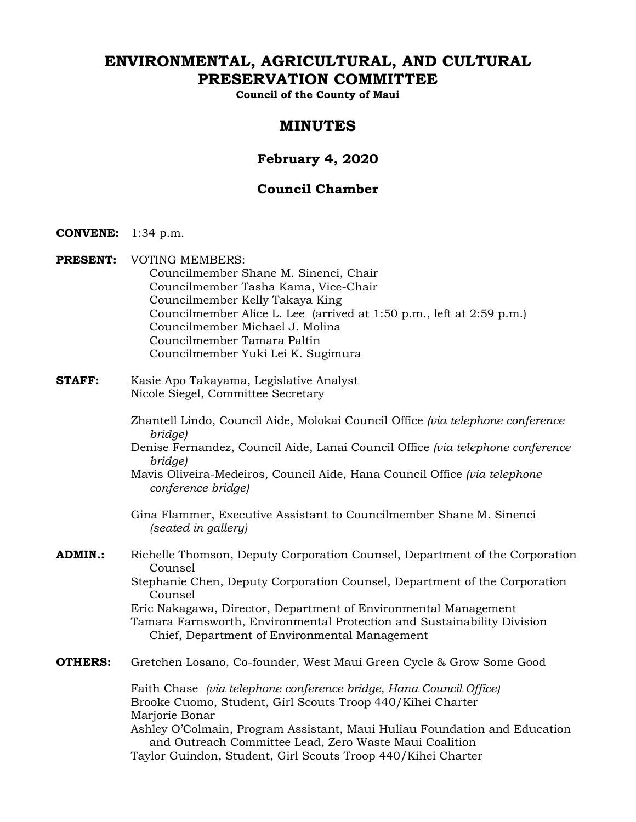# **ENVIRONMENTAL, AGRICULTURAL, AND CULTURAL PRESERVATION COMMITTEE**

**Council of the County of Maui** 

# **MINUTES**

# **February 4, 2020**

# **Council Chamber**

- **CONVENE:** 1:34 p.m.
- **PRESENT:** VOTING MEMBERS: Councilmember Shane M. Sinenci, Chair Councilmember Tasha Kama, Vice-Chair Councilmember Kelly Takaya King Councilmember Alice L. Lee (arrived at 1:50 p.m., left at 2:59 p.m.) Councilmember Michael J. Molina Councilmember Tamara Paltin Councilmember Yuki Lei K. Sugimura
- **STAFF:** Kasie Apo Takayama, Legislative Analyst Nicole Siegel, Committee Secretary
	- Zhantell Lindo, Council Aide, Molokai Council Office *(via telephone conference bridge)*
	- Denise Fernandez, Council Aide, Lanai Council Office *(via telephone conference bridge)*
	- Mavis Oliveira-Medeiros, Council Aide, Hana Council Office *(via telephone conference bridge)*
	- Gina Flammer, Executive Assistant to Councilmember Shane M. Sinenci *(seated in gallery)*
- **ADMIN.:** Richelle Thomson, Deputy Corporation Counsel, Department of the Corporation Counsel Stephanie Chen, Deputy Corporation Counsel, Department of the Corporation Counsel

Eric Nakagawa, Director, Department of Environmental Management Tamara Farnsworth, Environmental Protection and Sustainability Division Chief, Department of Environmental Management

**OTHERS:** Gretchen Losano, Co-founder, West Maui Green Cycle & Grow Some Good

Faith Chase *(via telephone conference bridge, Hana Council Office)* Brooke Cuomo, Student, Girl Scouts Troop 440/Kihei Charter Marjorie Bonar

Ashley O'Colmain, Program Assistant, Maui Huliau Foundation and Education and Outreach Committee Lead, Zero Waste Maui Coalition Taylor Guindon, Student, Girl Scouts Troop 440/Kihei Charter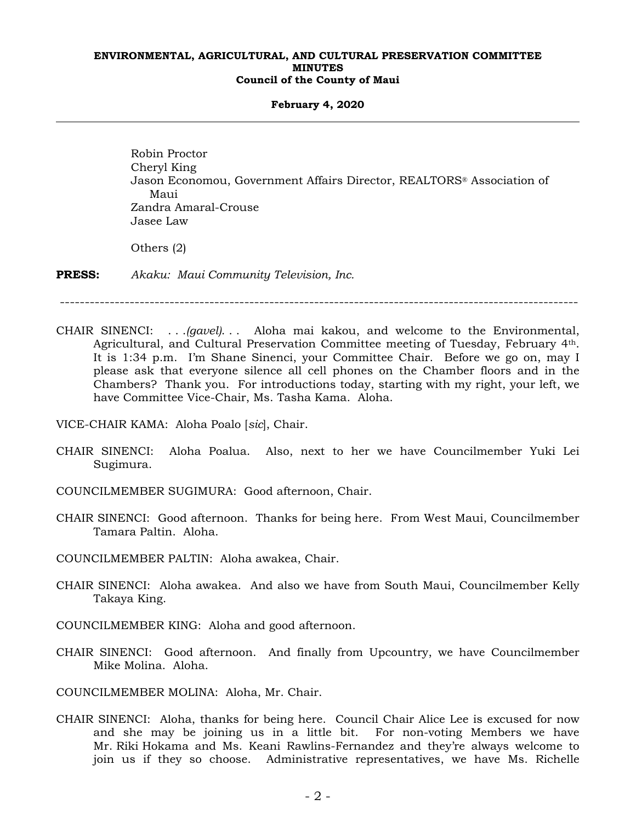#### **February 4, 2020**

Robin Proctor Cheryl King Jason Economou, Government Affairs Director, REALTORS® Association of Maui Zandra Amaral-Crouse Jasee Law Others (2)

**PRESS:** *Akaku: Maui Community Television, Inc.*

--------------------------------------------------------------------------------------------------------

CHAIR SINENCI: . . .*(gavel)*. . . Aloha mai kakou, and welcome to the Environmental, Agricultural, and Cultural Preservation Committee meeting of Tuesday, February 4th. It is 1:34 p.m. I'm Shane Sinenci, your Committee Chair. Before we go on, may I please ask that everyone silence all cell phones on the Chamber floors and in the Chambers? Thank you. For introductions today, starting with my right, your left, we have Committee Vice-Chair, Ms. Tasha Kama. Aloha.

VICE-CHAIR KAMA: Aloha Poalo [*sic*], Chair.

CHAIR SINENCI: Aloha Poalua. Also, next to her we have Councilmember Yuki Lei Sugimura.

COUNCILMEMBER SUGIMURA: Good afternoon, Chair.

CHAIR SINENCI: Good afternoon. Thanks for being here. From West Maui, Councilmember Tamara Paltin. Aloha.

COUNCILMEMBER PALTIN: Aloha awakea, Chair.

- CHAIR SINENCI: Aloha awakea. And also we have from South Maui, Councilmember Kelly Takaya King.
- COUNCILMEMBER KING: Aloha and good afternoon.
- CHAIR SINENCI: Good afternoon. And finally from Upcountry, we have Councilmember Mike Molina. Aloha.

COUNCILMEMBER MOLINA: Aloha, Mr. Chair.

CHAIR SINENCI: Aloha, thanks for being here. Council Chair Alice Lee is excused for now and she may be joining us in a little bit. For non-voting Members we have Mr. Riki Hokama and Ms. Keani Rawlins-Fernandez and they're always welcome to join us if they so choose. Administrative representatives, we have Ms. Richelle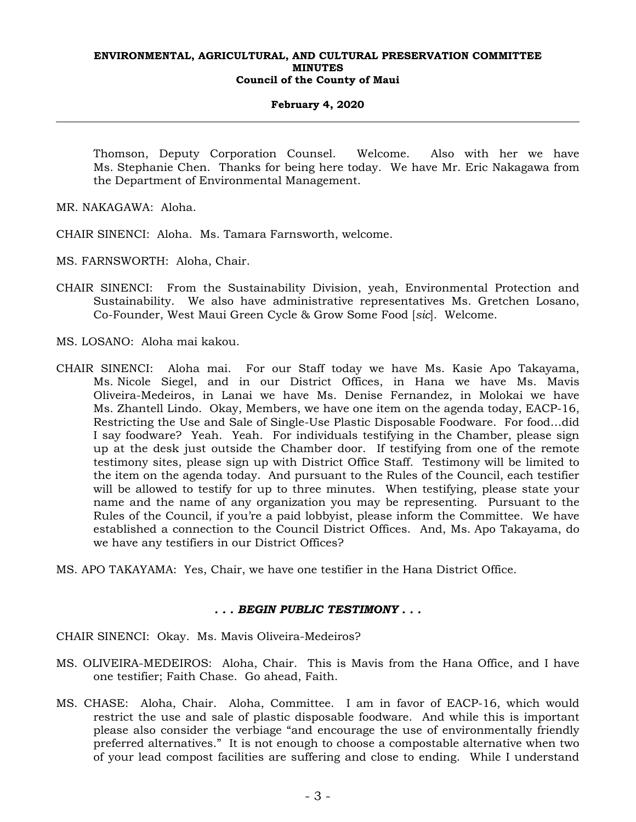## **February 4, 2020**

Thomson, Deputy Corporation Counsel. Welcome. Also with her we have Ms. Stephanie Chen. Thanks for being here today. We have Mr. Eric Nakagawa from the Department of Environmental Management.

MR. NAKAGAWA: Aloha.

CHAIR SINENCI: Aloha. Ms. Tamara Farnsworth, welcome.

MS. FARNSWORTH: Aloha, Chair.

CHAIR SINENCI: From the Sustainability Division, yeah, Environmental Protection and Sustainability. We also have administrative representatives Ms. Gretchen Losano, Co-Founder, West Maui Green Cycle & Grow Some Food [*sic*]. Welcome.

MS. LOSANO: Aloha mai kakou.

- CHAIR SINENCI: Aloha mai. For our Staff today we have Ms. Kasie Apo Takayama, Ms. Nicole Siegel, and in our District Offices, in Hana we have Ms. Mavis Oliveira-Medeiros, in Lanai we have Ms. Denise Fernandez, in Molokai we have Ms. Zhantell Lindo. Okay, Members, we have one item on the agenda today, EACP-16, Restricting the Use and Sale of Single-Use Plastic Disposable Foodware. For food…did I say foodware? Yeah. Yeah. For individuals testifying in the Chamber, please sign up at the desk just outside the Chamber door. If testifying from one of the remote testimony sites, please sign up with District Office Staff. Testimony will be limited to the item on the agenda today. And pursuant to the Rules of the Council, each testifier will be allowed to testify for up to three minutes. When testifying, please state your name and the name of any organization you may be representing. Pursuant to the Rules of the Council, if you're a paid lobbyist, please inform the Committee. We have established a connection to the Council District Offices. And, Ms. Apo Takayama, do we have any testifiers in our District Offices?
- MS. APO TAKAYAMA: Yes, Chair, we have one testifier in the Hana District Office.

## *. . . BEGIN PUBLIC TESTIMONY . . .*

CHAIR SINENCI: Okay. Ms. Mavis Oliveira-Medeiros?

- MS. OLIVEIRA-MEDEIROS: Aloha, Chair. This is Mavis from the Hana Office, and I have one testifier; Faith Chase. Go ahead, Faith.
- MS. CHASE: Aloha, Chair. Aloha, Committee. I am in favor of EACP-16, which would restrict the use and sale of plastic disposable foodware. And while this is important please also consider the verbiage "and encourage the use of environmentally friendly preferred alternatives." It is not enough to choose a compostable alternative when two of your lead compost facilities are suffering and close to ending. While I understand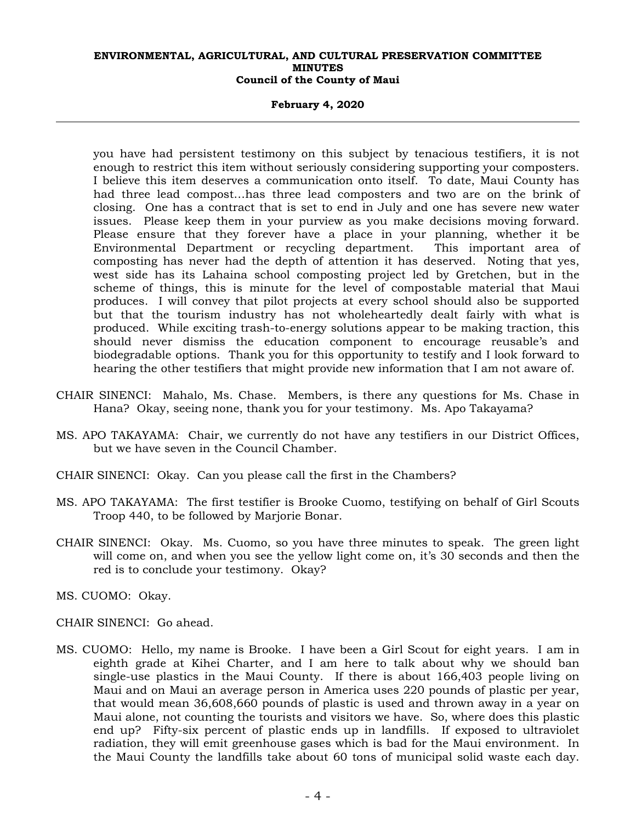#### **February 4, 2020**

you have had persistent testimony on this subject by tenacious testifiers, it is not enough to restrict this item without seriously considering supporting your composters. I believe this item deserves a communication onto itself. To date, Maui County has had three lead compost…has three lead composters and two are on the brink of closing. One has a contract that is set to end in July and one has severe new water issues. Please keep them in your purview as you make decisions moving forward. Please ensure that they forever have a place in your planning, whether it be Environmental Department or recycling department. This important area of composting has never had the depth of attention it has deserved. Noting that yes, west side has its Lahaina school composting project led by Gretchen, but in the scheme of things, this is minute for the level of compostable material that Maui produces. I will convey that pilot projects at every school should also be supported but that the tourism industry has not wholeheartedly dealt fairly with what is produced. While exciting trash-to-energy solutions appear to be making traction, this should never dismiss the education component to encourage reusable's and biodegradable options. Thank you for this opportunity to testify and I look forward to hearing the other testifiers that might provide new information that I am not aware of.

- CHAIR SINENCI: Mahalo, Ms. Chase. Members, is there any questions for Ms. Chase in Hana? Okay, seeing none, thank you for your testimony. Ms. Apo Takayama?
- MS. APO TAKAYAMA: Chair, we currently do not have any testifiers in our District Offices, but we have seven in the Council Chamber.
- CHAIR SINENCI: Okay. Can you please call the first in the Chambers?
- MS. APO TAKAYAMA: The first testifier is Brooke Cuomo, testifying on behalf of Girl Scouts Troop 440, to be followed by Marjorie Bonar.
- CHAIR SINENCI: Okay. Ms. Cuomo, so you have three minutes to speak. The green light will come on, and when you see the yellow light come on, it's 30 seconds and then the red is to conclude your testimony. Okay?
- MS. CUOMO: Okay.
- CHAIR SINENCI: Go ahead.
- MS. CUOMO: Hello, my name is Brooke. I have been a Girl Scout for eight years. I am in eighth grade at Kihei Charter, and I am here to talk about why we should ban single-use plastics in the Maui County. If there is about 166,403 people living on Maui and on Maui an average person in America uses 220 pounds of plastic per year, that would mean 36,608,660 pounds of plastic is used and thrown away in a year on Maui alone, not counting the tourists and visitors we have. So, where does this plastic end up? Fifty-six percent of plastic ends up in landfills. If exposed to ultraviolet radiation, they will emit greenhouse gases which is bad for the Maui environment. In the Maui County the landfills take about 60 tons of municipal solid waste each day.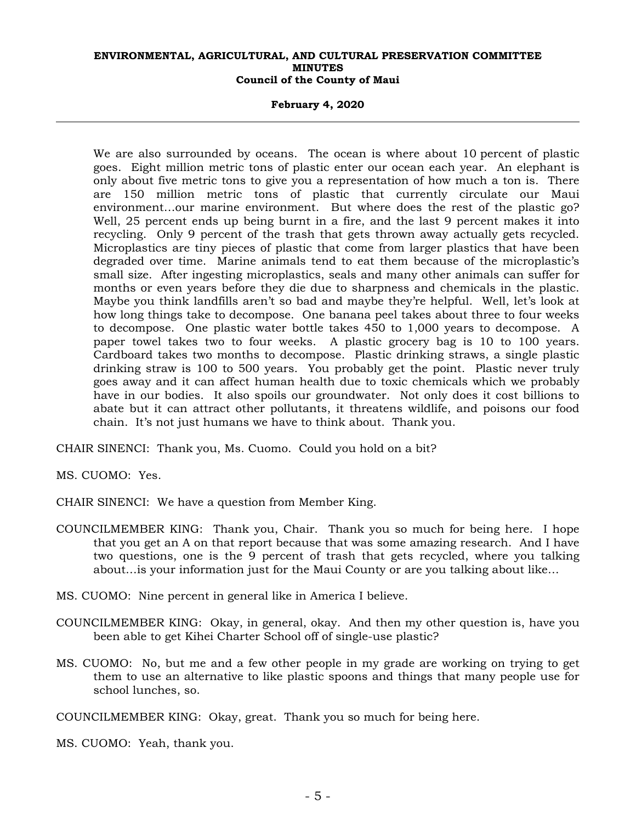**February 4, 2020** 

We are also surrounded by oceans. The ocean is where about 10 percent of plastic goes. Eight million metric tons of plastic enter our ocean each year. An elephant is only about five metric tons to give you a representation of how much a ton is. There are 150 million metric tons of plastic that currently circulate our Maui environment…our marine environment. But where does the rest of the plastic go? Well, 25 percent ends up being burnt in a fire, and the last 9 percent makes it into recycling. Only 9 percent of the trash that gets thrown away actually gets recycled. Microplastics are tiny pieces of plastic that come from larger plastics that have been degraded over time. Marine animals tend to eat them because of the microplastic's small size. After ingesting microplastics, seals and many other animals can suffer for months or even years before they die due to sharpness and chemicals in the plastic. Maybe you think landfills aren't so bad and maybe they're helpful. Well, let's look at how long things take to decompose. One banana peel takes about three to four weeks to decompose. One plastic water bottle takes 450 to 1,000 years to decompose. A paper towel takes two to four weeks. A plastic grocery bag is 10 to 100 years. Cardboard takes two months to decompose. Plastic drinking straws, a single plastic drinking straw is 100 to 500 years. You probably get the point. Plastic never truly goes away and it can affect human health due to toxic chemicals which we probably have in our bodies. It also spoils our groundwater. Not only does it cost billions to abate but it can attract other pollutants, it threatens wildlife, and poisons our food chain. It's not just humans we have to think about. Thank you.

CHAIR SINENCI: Thank you, Ms. Cuomo. Could you hold on a bit?

MS. CUOMO: Yes.

CHAIR SINENCI: We have a question from Member King.

- COUNCILMEMBER KING: Thank you, Chair. Thank you so much for being here. I hope that you get an A on that report because that was some amazing research. And I have two questions, one is the 9 percent of trash that gets recycled, where you talking about…is your information just for the Maui County or are you talking about like…
- MS. CUOMO: Nine percent in general like in America I believe.
- COUNCILMEMBER KING: Okay, in general, okay. And then my other question is, have you been able to get Kihei Charter School off of single-use plastic?
- MS. CUOMO: No, but me and a few other people in my grade are working on trying to get them to use an alternative to like plastic spoons and things that many people use for school lunches, so.

COUNCILMEMBER KING: Okay, great. Thank you so much for being here.

MS. CUOMO: Yeah, thank you.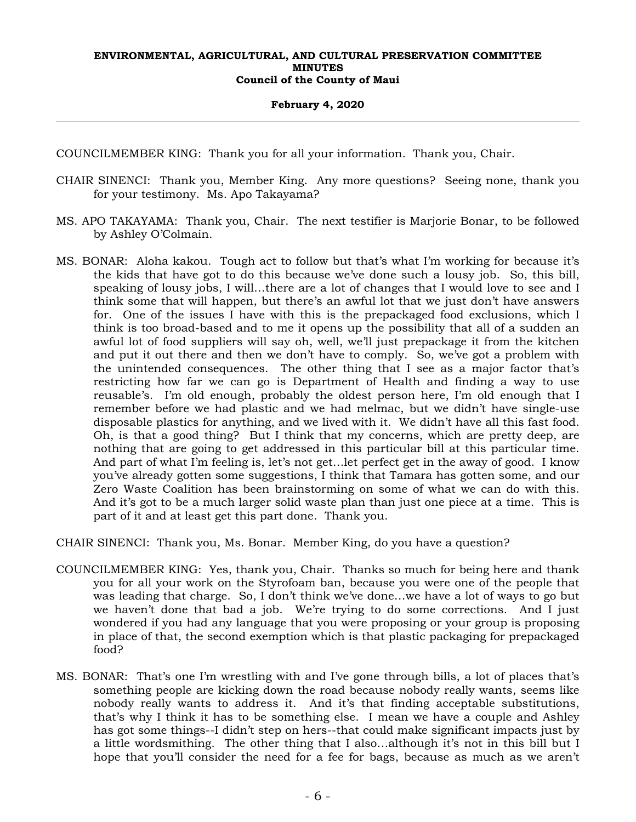#### **February 4, 2020**

COUNCILMEMBER KING: Thank you for all your information. Thank you, Chair.

- CHAIR SINENCI: Thank you, Member King. Any more questions? Seeing none, thank you for your testimony. Ms. Apo Takayama?
- MS. APO TAKAYAMA: Thank you, Chair. The next testifier is Marjorie Bonar, to be followed by Ashley O'Colmain.
- MS. BONAR: Aloha kakou. Tough act to follow but that's what I'm working for because it's the kids that have got to do this because we've done such a lousy job. So, this bill, speaking of lousy jobs, I will…there are a lot of changes that I would love to see and I think some that will happen, but there's an awful lot that we just don't have answers for. One of the issues I have with this is the prepackaged food exclusions, which I think is too broad-based and to me it opens up the possibility that all of a sudden an awful lot of food suppliers will say oh, well, we'll just prepackage it from the kitchen and put it out there and then we don't have to comply. So, we've got a problem with the unintended consequences. The other thing that I see as a major factor that's restricting how far we can go is Department of Health and finding a way to use reusable's. I'm old enough, probably the oldest person here, I'm old enough that I remember before we had plastic and we had melmac, but we didn't have single-use disposable plastics for anything, and we lived with it. We didn't have all this fast food. Oh, is that a good thing? But I think that my concerns, which are pretty deep, are nothing that are going to get addressed in this particular bill at this particular time. And part of what I'm feeling is, let's not get…let perfect get in the away of good. I know you've already gotten some suggestions, I think that Tamara has gotten some, and our Zero Waste Coalition has been brainstorming on some of what we can do with this. And it's got to be a much larger solid waste plan than just one piece at a time. This is part of it and at least get this part done. Thank you.

CHAIR SINENCI: Thank you, Ms. Bonar. Member King, do you have a question?

- COUNCILMEMBER KING: Yes, thank you, Chair. Thanks so much for being here and thank you for all your work on the Styrofoam ban, because you were one of the people that was leading that charge. So, I don't think we've done…we have a lot of ways to go but we haven't done that bad a job. We're trying to do some corrections. And I just wondered if you had any language that you were proposing or your group is proposing in place of that, the second exemption which is that plastic packaging for prepackaged food?
- MS. BONAR: That's one I'm wrestling with and I've gone through bills, a lot of places that's something people are kicking down the road because nobody really wants, seems like nobody really wants to address it. And it's that finding acceptable substitutions, that's why I think it has to be something else. I mean we have a couple and Ashley has got some things--I didn't step on hers--that could make significant impacts just by a little wordsmithing. The other thing that I also…although it's not in this bill but I hope that you'll consider the need for a fee for bags, because as much as we aren't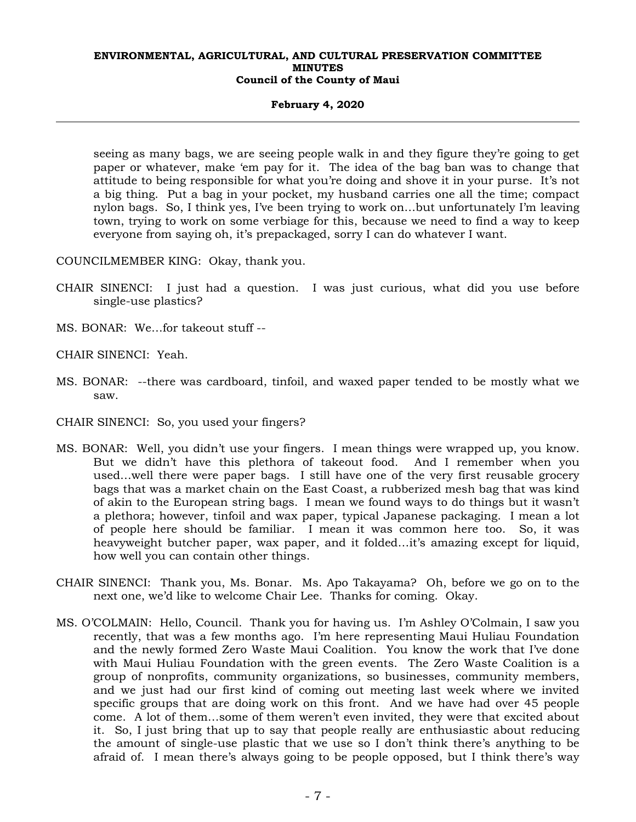## **February 4, 2020**

seeing as many bags, we are seeing people walk in and they figure they're going to get paper or whatever, make 'em pay for it. The idea of the bag ban was to change that attitude to being responsible for what you're doing and shove it in your purse. It's not a big thing. Put a bag in your pocket, my husband carries one all the time; compact nylon bags. So, I think yes, I've been trying to work on…but unfortunately I'm leaving town, trying to work on some verbiage for this, because we need to find a way to keep everyone from saying oh, it's prepackaged, sorry I can do whatever I want.

COUNCILMEMBER KING: Okay, thank you.

- CHAIR SINENCI: I just had a question. I was just curious, what did you use before single-use plastics?
- MS. BONAR: We…for takeout stuff --

CHAIR SINENCI: Yeah.

- MS. BONAR: --there was cardboard, tinfoil, and waxed paper tended to be mostly what we saw.
- CHAIR SINENCI: So, you used your fingers?
- MS. BONAR: Well, you didn't use your fingers. I mean things were wrapped up, you know. But we didn't have this plethora of takeout food. And I remember when you used…well there were paper bags. I still have one of the very first reusable grocery bags that was a market chain on the East Coast, a rubberized mesh bag that was kind of akin to the European string bags. I mean we found ways to do things but it wasn't a plethora; however, tinfoil and wax paper, typical Japanese packaging. I mean a lot of people here should be familiar. I mean it was common here too. So, it was heavyweight butcher paper, wax paper, and it folded…it's amazing except for liquid, how well you can contain other things.
- CHAIR SINENCI: Thank you, Ms. Bonar. Ms. Apo Takayama? Oh, before we go on to the next one, we'd like to welcome Chair Lee. Thanks for coming. Okay.
- MS. O'COLMAIN: Hello, Council. Thank you for having us. I'm Ashley O'Colmain, I saw you recently, that was a few months ago. I'm here representing Maui Huliau Foundation and the newly formed Zero Waste Maui Coalition. You know the work that I've done with Maui Huliau Foundation with the green events. The Zero Waste Coalition is a group of nonprofits, community organizations, so businesses, community members, and we just had our first kind of coming out meeting last week where we invited specific groups that are doing work on this front. And we have had over 45 people come. A lot of them…some of them weren't even invited, they were that excited about it. So, I just bring that up to say that people really are enthusiastic about reducing the amount of single-use plastic that we use so I don't think there's anything to be afraid of. I mean there's always going to be people opposed, but I think there's way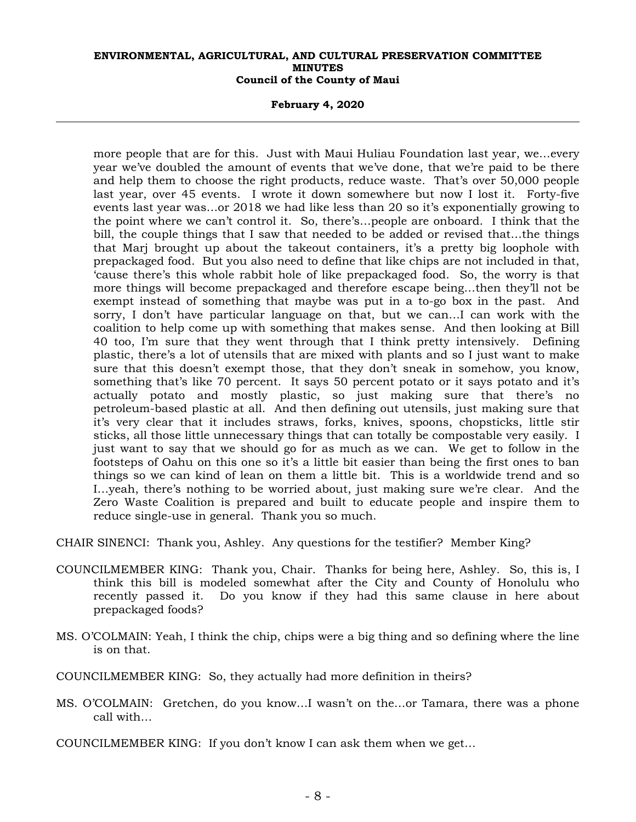**February 4, 2020** 

more people that are for this. Just with Maui Huliau Foundation last year, we…every year we've doubled the amount of events that we've done, that we're paid to be there and help them to choose the right products, reduce waste. That's over 50,000 people last year, over 45 events. I wrote it down somewhere but now I lost it. Forty-five events last year was…or 2018 we had like less than 20 so it's exponentially growing to the point where we can't control it. So, there's…people are onboard. I think that the bill, the couple things that I saw that needed to be added or revised that…the things that Marj brought up about the takeout containers, it's a pretty big loophole with prepackaged food. But you also need to define that like chips are not included in that, 'cause there's this whole rabbit hole of like prepackaged food. So, the worry is that more things will become prepackaged and therefore escape being…then they'll not be exempt instead of something that maybe was put in a to-go box in the past. And sorry, I don't have particular language on that, but we can…I can work with the coalition to help come up with something that makes sense. And then looking at Bill 40 too, I'm sure that they went through that I think pretty intensively. Defining plastic, there's a lot of utensils that are mixed with plants and so I just want to make sure that this doesn't exempt those, that they don't sneak in somehow, you know, something that's like 70 percent. It says 50 percent potato or it says potato and it's actually potato and mostly plastic, so just making sure that there's no petroleum-based plastic at all. And then defining out utensils, just making sure that it's very clear that it includes straws, forks, knives, spoons, chopsticks, little stir sticks, all those little unnecessary things that can totally be compostable very easily. I just want to say that we should go for as much as we can. We get to follow in the footsteps of Oahu on this one so it's a little bit easier than being the first ones to ban things so we can kind of lean on them a little bit. This is a worldwide trend and so I…yeah, there's nothing to be worried about, just making sure we're clear. And the Zero Waste Coalition is prepared and built to educate people and inspire them to reduce single-use in general. Thank you so much.

CHAIR SINENCI: Thank you, Ashley. Any questions for the testifier? Member King?

- COUNCILMEMBER KING: Thank you, Chair. Thanks for being here, Ashley. So, this is, I think this bill is modeled somewhat after the City and County of Honolulu who recently passed it. Do you know if they had this same clause in here about prepackaged foods?
- MS. O'COLMAIN: Yeah, I think the chip, chips were a big thing and so defining where the line is on that.
- COUNCILMEMBER KING: So, they actually had more definition in theirs?
- MS. O'COLMAIN: Gretchen, do you know…I wasn't on the…or Tamara, there was a phone call with…
- COUNCILMEMBER KING: If you don't know I can ask them when we get…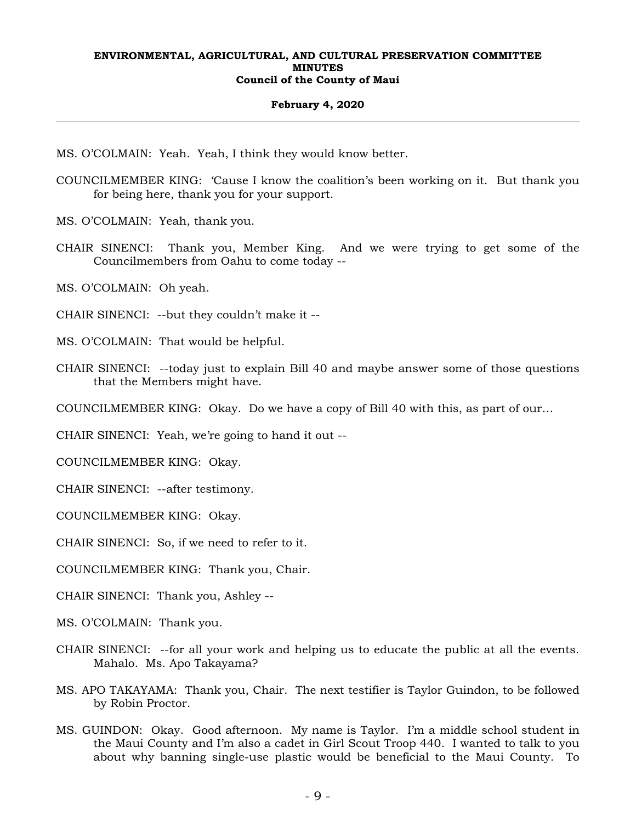#### **February 4, 2020**

MS. O'COLMAIN: Yeah. Yeah, I think they would know better.

COUNCILMEMBER KING: 'Cause I know the coalition's been working on it. But thank you for being here, thank you for your support.

MS. O'COLMAIN: Yeah, thank you.

CHAIR SINENCI: Thank you, Member King. And we were trying to get some of the Councilmembers from Oahu to come today --

MS. O'COLMAIN: Oh yeah.

CHAIR SINENCI: --but they couldn't make it --

MS. O'COLMAIN: That would be helpful.

CHAIR SINENCI: --today just to explain Bill 40 and maybe answer some of those questions that the Members might have.

COUNCILMEMBER KING: Okay. Do we have a copy of Bill 40 with this, as part of our…

CHAIR SINENCI: Yeah, we're going to hand it out --

COUNCILMEMBER KING: Okay.

CHAIR SINENCI: --after testimony.

COUNCILMEMBER KING: Okay.

CHAIR SINENCI: So, if we need to refer to it.

COUNCILMEMBER KING: Thank you, Chair.

CHAIR SINENCI: Thank you, Ashley --

MS. O'COLMAIN: Thank you.

- CHAIR SINENCI: --for all your work and helping us to educate the public at all the events. Mahalo. Ms. Apo Takayama?
- MS. APO TAKAYAMA: Thank you, Chair. The next testifier is Taylor Guindon, to be followed by Robin Proctor.
- MS. GUINDON: Okay. Good afternoon. My name is Taylor. I'm a middle school student in the Maui County and I'm also a cadet in Girl Scout Troop 440. I wanted to talk to you about why banning single-use plastic would be beneficial to the Maui County. To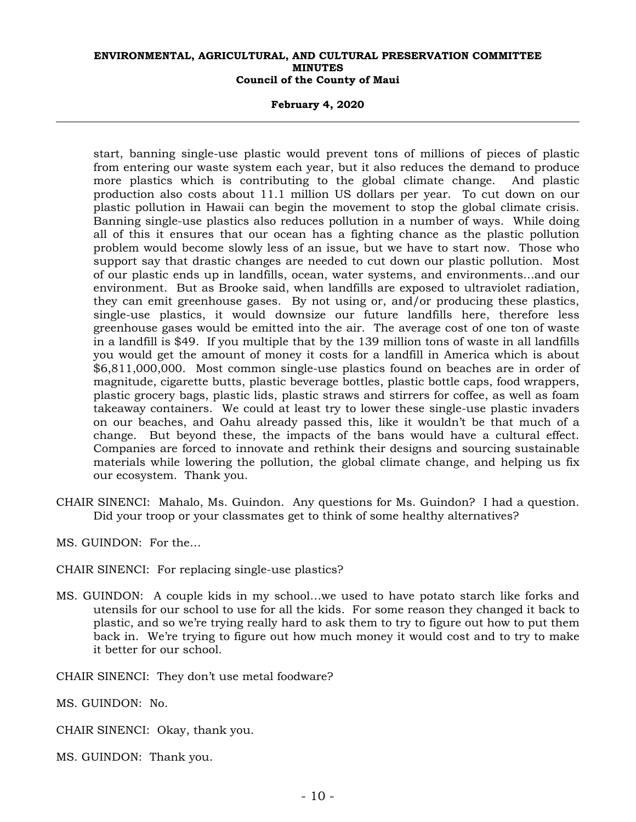**February 4, 2020** 

start, banning single-use plastic would prevent tons of millions of pieces of plastic from entering our waste system each year, but it also reduces the demand to produce more plastics which is contributing to the global climate change. And plastic production also costs about 11.1 million US dollars per year. To cut down on our plastic pollution in Hawaii can begin the movement to stop the global climate crisis. Banning single-use plastics also reduces pollution in a number of ways. While doing all of this it ensures that our ocean has a fighting chance as the plastic pollution problem would become slowly less of an issue, but we have to start now. Those who support say that drastic changes are needed to cut down our plastic pollution. Most of our plastic ends up in landfills, ocean, water systems, and environments…and our environment. But as Brooke said, when landfills are exposed to ultraviolet radiation, they can emit greenhouse gases. By not using or, and/or producing these plastics, single-use plastics, it would downsize our future landfills here, therefore less greenhouse gases would be emitted into the air. The average cost of one ton of waste in a landfill is \$49. If you multiple that by the 139 million tons of waste in all landfills you would get the amount of money it costs for a landfill in America which is about \$6,811,000,000. Most common single-use plastics found on beaches are in order of magnitude, cigarette butts, plastic beverage bottles, plastic bottle caps, food wrappers, plastic grocery bags, plastic lids, plastic straws and stirrers for coffee, as well as foam takeaway containers. We could at least try to lower these single-use plastic invaders on our beaches, and Oahu already passed this, like it wouldn't be that much of a change. But beyond these, the impacts of the bans would have a cultural effect. Companies are forced to innovate and rethink their designs and sourcing sustainable materials while lowering the pollution, the global climate change, and helping us fix our ecosystem. Thank you.

CHAIR SINENCI: Mahalo, Ms. Guindon. Any questions for Ms. Guindon? I had a question. Did your troop or your classmates get to think of some healthy alternatives?

MS. GUINDON: For the…

CHAIR SINENCI: For replacing single-use plastics?

MS. GUINDON: A couple kids in my school…we used to have potato starch like forks and utensils for our school to use for all the kids. For some reason they changed it back to plastic, and so we're trying really hard to ask them to try to figure out how to put them back in. We're trying to figure out how much money it would cost and to try to make it better for our school.

CHAIR SINENCI: They don't use metal foodware?

MS. GUINDON: No.

CHAIR SINENCI: Okay, thank you.

MS. GUINDON: Thank you.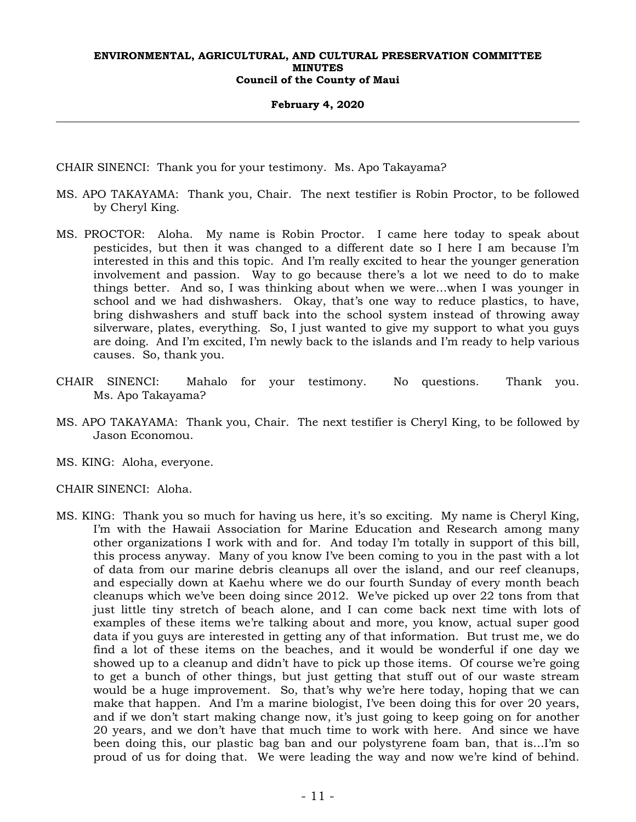#### **February 4, 2020**

CHAIR SINENCI: Thank you for your testimony. Ms. Apo Takayama?

- MS. APO TAKAYAMA: Thank you, Chair. The next testifier is Robin Proctor, to be followed by Cheryl King.
- MS. PROCTOR: Aloha. My name is Robin Proctor. I came here today to speak about pesticides, but then it was changed to a different date so I here I am because I'm interested in this and this topic. And I'm really excited to hear the younger generation involvement and passion. Way to go because there's a lot we need to do to make things better. And so, I was thinking about when we were…when I was younger in school and we had dishwashers. Okay, that's one way to reduce plastics, to have, bring dishwashers and stuff back into the school system instead of throwing away silverware, plates, everything. So, I just wanted to give my support to what you guys are doing. And I'm excited, I'm newly back to the islands and I'm ready to help various causes. So, thank you.
- CHAIR SINENCI: Mahalo for your testimony. No questions. Thank you. Ms. Apo Takayama?
- MS. APO TAKAYAMA: Thank you, Chair. The next testifier is Cheryl King, to be followed by Jason Economou.
- MS. KING: Aloha, everyone.
- CHAIR SINENCI: Aloha.
- MS. KING: Thank you so much for having us here, it's so exciting. My name is Cheryl King, I'm with the Hawaii Association for Marine Education and Research among many other organizations I work with and for. And today I'm totally in support of this bill, this process anyway. Many of you know I've been coming to you in the past with a lot of data from our marine debris cleanups all over the island, and our reef cleanups, and especially down at Kaehu where we do our fourth Sunday of every month beach cleanups which we've been doing since 2012. We've picked up over 22 tons from that just little tiny stretch of beach alone, and I can come back next time with lots of examples of these items we're talking about and more, you know, actual super good data if you guys are interested in getting any of that information. But trust me, we do find a lot of these items on the beaches, and it would be wonderful if one day we showed up to a cleanup and didn't have to pick up those items. Of course we're going to get a bunch of other things, but just getting that stuff out of our waste stream would be a huge improvement. So, that's why we're here today, hoping that we can make that happen. And I'm a marine biologist, I've been doing this for over 20 years, and if we don't start making change now, it's just going to keep going on for another 20 years, and we don't have that much time to work with here. And since we have been doing this, our plastic bag ban and our polystyrene foam ban, that is…I'm so proud of us for doing that. We were leading the way and now we're kind of behind.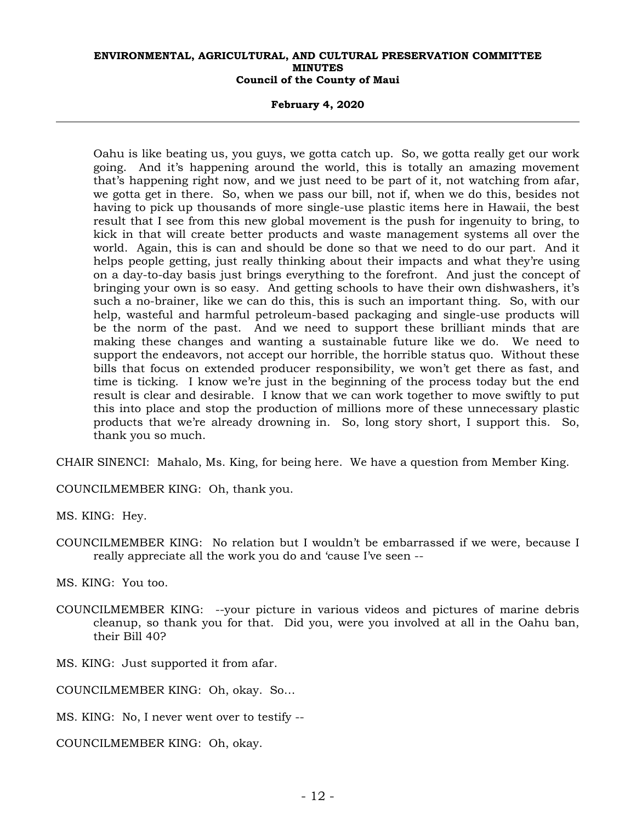#### **February 4, 2020**

Oahu is like beating us, you guys, we gotta catch up. So, we gotta really get our work going. And it's happening around the world, this is totally an amazing movement that's happening right now, and we just need to be part of it, not watching from afar, we gotta get in there. So, when we pass our bill, not if, when we do this, besides not having to pick up thousands of more single-use plastic items here in Hawaii, the best result that I see from this new global movement is the push for ingenuity to bring, to kick in that will create better products and waste management systems all over the world. Again, this is can and should be done so that we need to do our part. And it helps people getting, just really thinking about their impacts and what they're using on a day-to-day basis just brings everything to the forefront. And just the concept of bringing your own is so easy. And getting schools to have their own dishwashers, it's such a no-brainer, like we can do this, this is such an important thing. So, with our help, wasteful and harmful petroleum-based packaging and single-use products will be the norm of the past. And we need to support these brilliant minds that are making these changes and wanting a sustainable future like we do. We need to support the endeavors, not accept our horrible, the horrible status quo. Without these bills that focus on extended producer responsibility, we won't get there as fast, and time is ticking. I know we're just in the beginning of the process today but the end result is clear and desirable. I know that we can work together to move swiftly to put this into place and stop the production of millions more of these unnecessary plastic products that we're already drowning in. So, long story short, I support this. So, thank you so much.

CHAIR SINENCI: Mahalo, Ms. King, for being here. We have a question from Member King.

COUNCILMEMBER KING: Oh, thank you.

MS. KING: Hey.

COUNCILMEMBER KING: No relation but I wouldn't be embarrassed if we were, because I really appreciate all the work you do and 'cause I've seen --

MS. KING: You too.

- COUNCILMEMBER KING: --your picture in various videos and pictures of marine debris cleanup, so thank you for that. Did you, were you involved at all in the Oahu ban, their Bill 40?
- MS. KING: Just supported it from afar.
- COUNCILMEMBER KING: Oh, okay. So…
- MS. KING: No, I never went over to testify --
- COUNCILMEMBER KING: Oh, okay.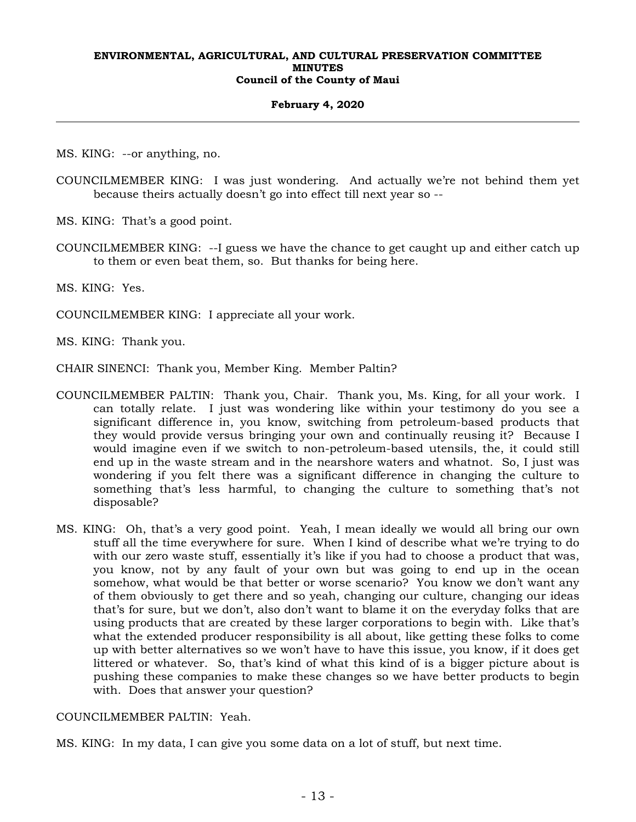#### **February 4, 2020**

MS. KING: --or anything, no.

COUNCILMEMBER KING: I was just wondering. And actually we're not behind them yet because theirs actually doesn't go into effect till next year so --

MS. KING: That's a good point.

COUNCILMEMBER KING: --I guess we have the chance to get caught up and either catch up to them or even beat them, so. But thanks for being here.

MS. KING: Yes.

COUNCILMEMBER KING: I appreciate all your work.

MS. KING: Thank you.

CHAIR SINENCI: Thank you, Member King. Member Paltin?

- COUNCILMEMBER PALTIN: Thank you, Chair. Thank you, Ms. King, for all your work. I can totally relate. I just was wondering like within your testimony do you see a significant difference in, you know, switching from petroleum-based products that they would provide versus bringing your own and continually reusing it? Because I would imagine even if we switch to non-petroleum-based utensils, the, it could still end up in the waste stream and in the nearshore waters and whatnot. So, I just was wondering if you felt there was a significant difference in changing the culture to something that's less harmful, to changing the culture to something that's not disposable?
- MS. KING: Oh, that's a very good point. Yeah, I mean ideally we would all bring our own stuff all the time everywhere for sure. When I kind of describe what we're trying to do with our zero waste stuff, essentially it's like if you had to choose a product that was, you know, not by any fault of your own but was going to end up in the ocean somehow, what would be that better or worse scenario? You know we don't want any of them obviously to get there and so yeah, changing our culture, changing our ideas that's for sure, but we don't, also don't want to blame it on the everyday folks that are using products that are created by these larger corporations to begin with. Like that's what the extended producer responsibility is all about, like getting these folks to come up with better alternatives so we won't have to have this issue, you know, if it does get littered or whatever. So, that's kind of what this kind of is a bigger picture about is pushing these companies to make these changes so we have better products to begin with. Does that answer your question?

COUNCILMEMBER PALTIN: Yeah.

MS. KING: In my data, I can give you some data on a lot of stuff, but next time.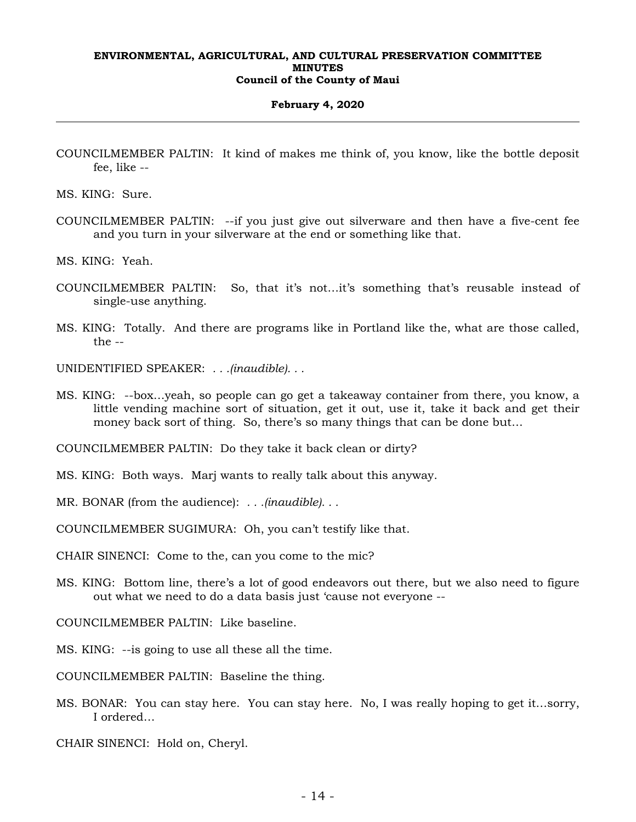#### **February 4, 2020**

COUNCILMEMBER PALTIN: It kind of makes me think of, you know, like the bottle deposit fee, like --

MS. KING: Sure.

COUNCILMEMBER PALTIN: --if you just give out silverware and then have a five-cent fee and you turn in your silverware at the end or something like that.

MS. KING: Yeah.

- COUNCILMEMBER PALTIN: So, that it's not…it's something that's reusable instead of single-use anything.
- MS. KING: Totally. And there are programs like in Portland like the, what are those called,  $the -$

UNIDENTIFIED SPEAKER: *. . .(inaudible). . .*

MS. KING: --box…yeah, so people can go get a takeaway container from there, you know, a little vending machine sort of situation, get it out, use it, take it back and get their money back sort of thing. So, there's so many things that can be done but…

COUNCILMEMBER PALTIN: Do they take it back clean or dirty?

- MS. KING: Both ways. Marj wants to really talk about this anyway.
- MR. BONAR (from the audience): *. . .(inaudible). . .*

COUNCILMEMBER SUGIMURA: Oh, you can't testify like that.

CHAIR SINENCI: Come to the, can you come to the mic?

MS. KING: Bottom line, there's a lot of good endeavors out there, but we also need to figure out what we need to do a data basis just 'cause not everyone --

COUNCILMEMBER PALTIN: Like baseline.

MS. KING: --is going to use all these all the time.

COUNCILMEMBER PALTIN: Baseline the thing.

MS. BONAR: You can stay here. You can stay here. No, I was really hoping to get it…sorry, I ordered…

CHAIR SINENCI: Hold on, Cheryl.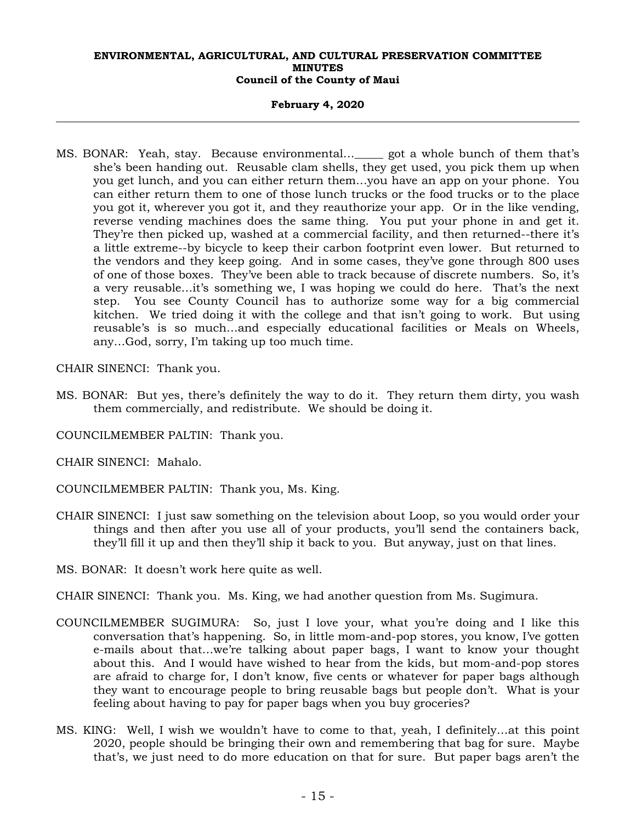## **February 4, 2020**

MS. BONAR: Yeah, stay. Because environmental…\_\_\_\_\_ got a whole bunch of them that's she's been handing out. Reusable clam shells, they get used, you pick them up when you get lunch, and you can either return them…you have an app on your phone. You can either return them to one of those lunch trucks or the food trucks or to the place you got it, wherever you got it, and they reauthorize your app. Or in the like vending, reverse vending machines does the same thing. You put your phone in and get it. They're then picked up, washed at a commercial facility, and then returned--there it's a little extreme--by bicycle to keep their carbon footprint even lower. But returned to the vendors and they keep going. And in some cases, they've gone through 800 uses of one of those boxes. They've been able to track because of discrete numbers. So, it's a very reusable…it's something we, I was hoping we could do here. That's the next step. You see County Council has to authorize some way for a big commercial kitchen. We tried doing it with the college and that isn't going to work. But using reusable's is so much…and especially educational facilities or Meals on Wheels, any…God, sorry, I'm taking up too much time.

CHAIR SINENCI: Thank you.

- MS. BONAR: But yes, there's definitely the way to do it. They return them dirty, you wash them commercially, and redistribute. We should be doing it.
- COUNCILMEMBER PALTIN: Thank you.
- CHAIR SINENCI: Mahalo.
- COUNCILMEMBER PALTIN: Thank you, Ms. King.
- CHAIR SINENCI: I just saw something on the television about Loop, so you would order your things and then after you use all of your products, you'll send the containers back, they'll fill it up and then they'll ship it back to you. But anyway, just on that lines.
- MS. BONAR: It doesn't work here quite as well.
- CHAIR SINENCI: Thank you. Ms. King, we had another question from Ms. Sugimura.
- COUNCILMEMBER SUGIMURA: So, just I love your, what you're doing and I like this conversation that's happening. So, in little mom-and-pop stores, you know, I've gotten e-mails about that…we're talking about paper bags, I want to know your thought about this. And I would have wished to hear from the kids, but mom-and-pop stores are afraid to charge for, I don't know, five cents or whatever for paper bags although they want to encourage people to bring reusable bags but people don't. What is your feeling about having to pay for paper bags when you buy groceries?
- MS. KING: Well, I wish we wouldn't have to come to that, yeah, I definitely…at this point 2020, people should be bringing their own and remembering that bag for sure. Maybe that's, we just need to do more education on that for sure. But paper bags aren't the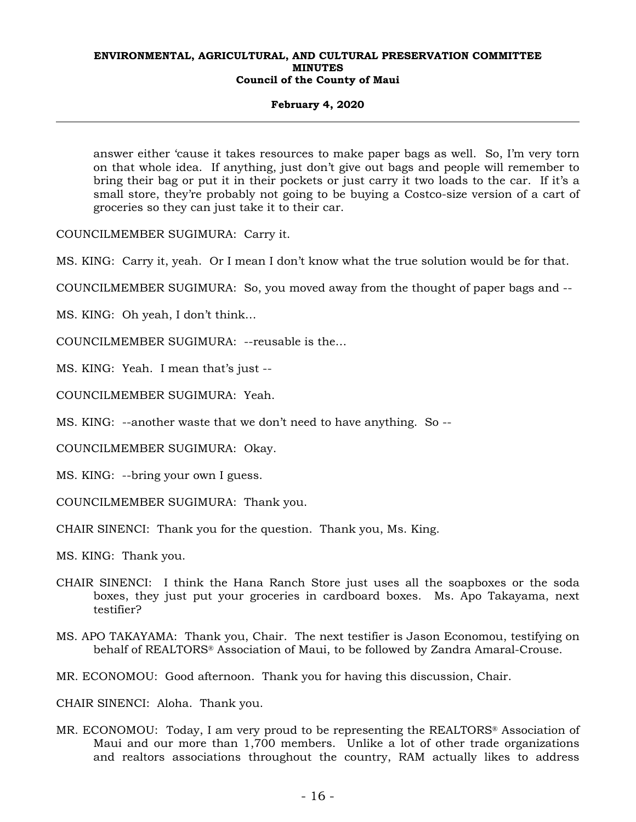## **February 4, 2020**

answer either 'cause it takes resources to make paper bags as well. So, I'm very torn on that whole idea. If anything, just don't give out bags and people will remember to bring their bag or put it in their pockets or just carry it two loads to the car. If it's a small store, they're probably not going to be buying a Costco-size version of a cart of groceries so they can just take it to their car.

COUNCILMEMBER SUGIMURA: Carry it.

MS. KING: Carry it, yeah. Or I mean I don't know what the true solution would be for that.

COUNCILMEMBER SUGIMURA: So, you moved away from the thought of paper bags and --

MS. KING: Oh yeah, I don't think…

COUNCILMEMBER SUGIMURA: --reusable is the…

MS. KING: Yeah. I mean that's just --

COUNCILMEMBER SUGIMURA: Yeah.

MS. KING: --another waste that we don't need to have anything. So --

COUNCILMEMBER SUGIMURA: Okay.

MS. KING: --bring your own I guess.

COUNCILMEMBER SUGIMURA: Thank you.

CHAIR SINENCI: Thank you for the question. Thank you, Ms. King.

MS. KING: Thank you.

- CHAIR SINENCI: I think the Hana Ranch Store just uses all the soapboxes or the soda boxes, they just put your groceries in cardboard boxes. Ms. Apo Takayama, next testifier?
- MS. APO TAKAYAMA: Thank you, Chair. The next testifier is Jason Economou, testifying on behalf of REALTORS® Association of Maui, to be followed by Zandra Amaral-Crouse.
- MR. ECONOMOU: Good afternoon. Thank you for having this discussion, Chair.

CHAIR SINENCI: Aloha. Thank you.

MR. ECONOMOU: Today, I am very proud to be representing the REALTORS® Association of Maui and our more than 1,700 members. Unlike a lot of other trade organizations and realtors associations throughout the country, RAM actually likes to address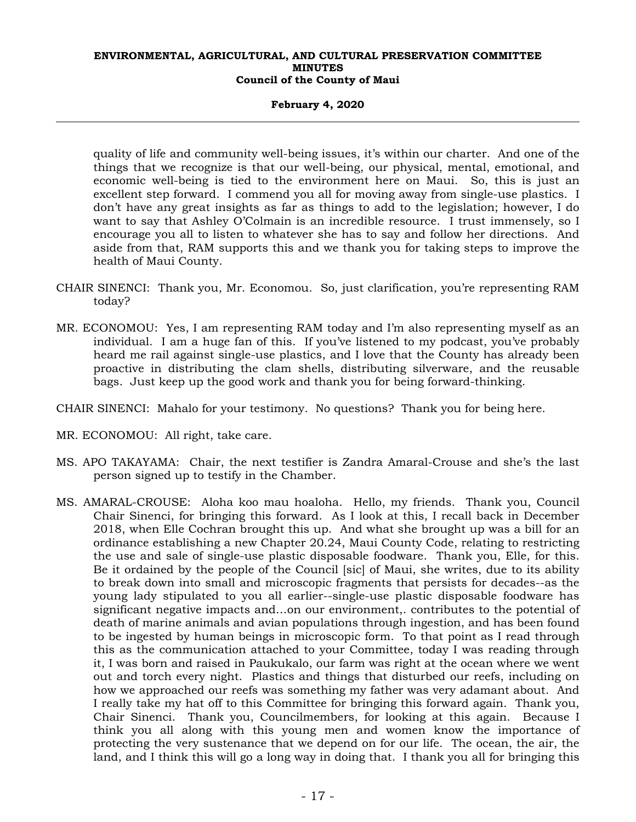## **February 4, 2020**

quality of life and community well-being issues, it's within our charter. And one of the things that we recognize is that our well-being, our physical, mental, emotional, and economic well-being is tied to the environment here on Maui. So, this is just an excellent step forward. I commend you all for moving away from single-use plastics. I don't have any great insights as far as things to add to the legislation; however, I do want to say that Ashley O'Colmain is an incredible resource. I trust immensely, so I encourage you all to listen to whatever she has to say and follow her directions. And aside from that, RAM supports this and we thank you for taking steps to improve the health of Maui County.

- CHAIR SINENCI: Thank you, Mr. Economou. So, just clarification, you're representing RAM today?
- MR. ECONOMOU: Yes, I am representing RAM today and I'm also representing myself as an individual. I am a huge fan of this. If you've listened to my podcast, you've probably heard me rail against single-use plastics, and I love that the County has already been proactive in distributing the clam shells, distributing silverware, and the reusable bags. Just keep up the good work and thank you for being forward-thinking.
- CHAIR SINENCI: Mahalo for your testimony. No questions? Thank you for being here.
- MR. ECONOMOU: All right, take care.
- MS. APO TAKAYAMA: Chair, the next testifier is Zandra Amaral-Crouse and she's the last person signed up to testify in the Chamber.
- MS. AMARAL-CROUSE: Aloha koo mau hoaloha. Hello, my friends. Thank you, Council Chair Sinenci, for bringing this forward. As I look at this, I recall back in December 2018, when Elle Cochran brought this up. And what she brought up was a bill for an ordinance establishing a new Chapter 20.24, Maui County Code, relating to restricting the use and sale of single-use plastic disposable foodware. Thank you, Elle, for this. Be it ordained by the people of the Council [sic] of Maui, she writes, due to its ability to break down into small and microscopic fragments that persists for decades--as the young lady stipulated to you all earlier--single-use plastic disposable foodware has significant negative impacts and…on our environment,. contributes to the potential of death of marine animals and avian populations through ingestion, and has been found to be ingested by human beings in microscopic form. To that point as I read through this as the communication attached to your Committee, today I was reading through it, I was born and raised in Paukukalo, our farm was right at the ocean where we went out and torch every night. Plastics and things that disturbed our reefs, including on how we approached our reefs was something my father was very adamant about. And I really take my hat off to this Committee for bringing this forward again. Thank you, Chair Sinenci. Thank you, Councilmembers, for looking at this again. Because I think you all along with this young men and women know the importance of protecting the very sustenance that we depend on for our life. The ocean, the air, the land, and I think this will go a long way in doing that. I thank you all for bringing this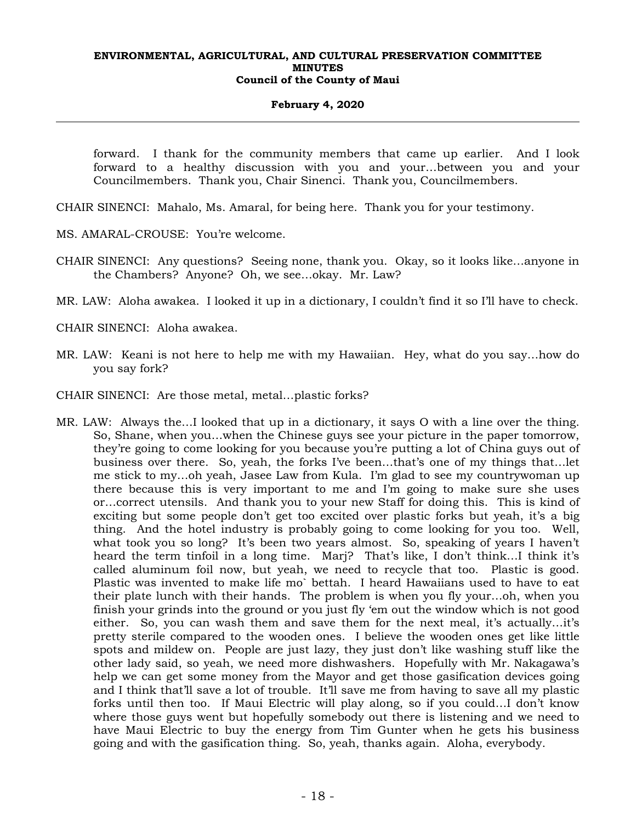## **February 4, 2020**

forward. I thank for the community members that came up earlier. And I look forward to a healthy discussion with you and your…between you and your Councilmembers. Thank you, Chair Sinenci. Thank you, Councilmembers.

CHAIR SINENCI: Mahalo, Ms. Amaral, for being here. Thank you for your testimony.

MS. AMARAL-CROUSE: You're welcome.

CHAIR SINENCI: Any questions? Seeing none, thank you. Okay, so it looks like…anyone in the Chambers? Anyone? Oh, we see…okay. Mr. Law?

MR. LAW: Aloha awakea. I looked it up in a dictionary, I couldn't find it so I'll have to check.

CHAIR SINENCI: Aloha awakea.

- MR. LAW: Keani is not here to help me with my Hawaiian. Hey, what do you say…how do you say fork?
- CHAIR SINENCI: Are those metal, metal…plastic forks?
- MR. LAW: Always the…I looked that up in a dictionary, it says O with a line over the thing. So, Shane, when you…when the Chinese guys see your picture in the paper tomorrow, they're going to come looking for you because you're putting a lot of China guys out of business over there. So, yeah, the forks I've been…that's one of my things that…let me stick to my…oh yeah, Jasee Law from Kula. I'm glad to see my countrywoman up there because this is very important to me and I'm going to make sure she uses or…correct utensils. And thank you to your new Staff for doing this. This is kind of exciting but some people don't get too excited over plastic forks but yeah, it's a big thing. And the hotel industry is probably going to come looking for you too. Well, what took you so long? It's been two years almost. So, speaking of years I haven't heard the term tinfoil in a long time. Marj? That's like, I don't think…I think it's called aluminum foil now, but yeah, we need to recycle that too. Plastic is good. Plastic was invented to make life mo` bettah. I heard Hawaiians used to have to eat their plate lunch with their hands. The problem is when you fly your…oh, when you finish your grinds into the ground or you just fly 'em out the window which is not good either. So, you can wash them and save them for the next meal, it's actually…it's pretty sterile compared to the wooden ones. I believe the wooden ones get like little spots and mildew on. People are just lazy, they just don't like washing stuff like the other lady said, so yeah, we need more dishwashers. Hopefully with Mr. Nakagawa's help we can get some money from the Mayor and get those gasification devices going and I think that'll save a lot of trouble. It'll save me from having to save all my plastic forks until then too. If Maui Electric will play along, so if you could…I don't know where those guys went but hopefully somebody out there is listening and we need to have Maui Electric to buy the energy from Tim Gunter when he gets his business going and with the gasification thing. So, yeah, thanks again. Aloha, everybody.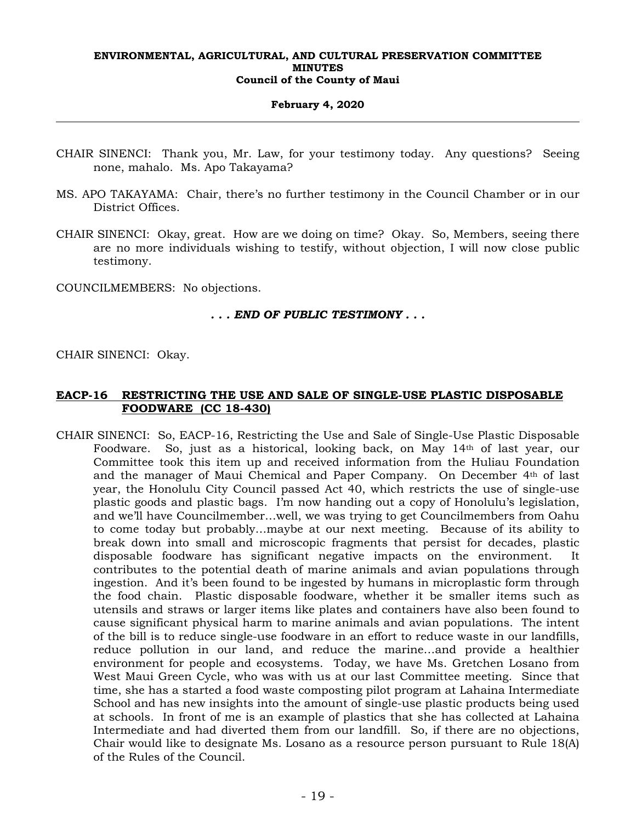#### **February 4, 2020**

- CHAIR SINENCI: Thank you, Mr. Law, for your testimony today. Any questions? Seeing none, mahalo. Ms. Apo Takayama?
- MS. APO TAKAYAMA: Chair, there's no further testimony in the Council Chamber or in our District Offices.
- CHAIR SINENCI: Okay, great. How are we doing on time? Okay. So, Members, seeing there are no more individuals wishing to testify, without objection, I will now close public testimony.

COUNCILMEMBERS: No objections.

## *. . . END OF PUBLIC TESTIMONY . . .*

CHAIR SINENCI: Okay.

# **EACP-16 RESTRICTING THE USE AND SALE OF SINGLE-USE PLASTIC DISPOSABLE FOODWARE (CC 18-430)**

CHAIR SINENCI: So, EACP-16, Restricting the Use and Sale of Single-Use Plastic Disposable Foodware. So, just as a historical, looking back, on May 14th of last year, our Committee took this item up and received information from the Huliau Foundation and the manager of Maui Chemical and Paper Company. On December 4th of last year, the Honolulu City Council passed Act 40, which restricts the use of single-use plastic goods and plastic bags. I'm now handing out a copy of Honolulu's legislation, and we'll have Councilmember…well, we was trying to get Councilmembers from Oahu to come today but probably…maybe at our next meeting. Because of its ability to break down into small and microscopic fragments that persist for decades, plastic disposable foodware has significant negative impacts on the environment. contributes to the potential death of marine animals and avian populations through ingestion. And it's been found to be ingested by humans in microplastic form through the food chain. Plastic disposable foodware, whether it be smaller items such as utensils and straws or larger items like plates and containers have also been found to cause significant physical harm to marine animals and avian populations. The intent of the bill is to reduce single-use foodware in an effort to reduce waste in our landfills, reduce pollution in our land, and reduce the marine…and provide a healthier environment for people and ecosystems. Today, we have Ms. Gretchen Losano from West Maui Green Cycle, who was with us at our last Committee meeting. Since that time, she has a started a food waste composting pilot program at Lahaina Intermediate School and has new insights into the amount of single-use plastic products being used at schools. In front of me is an example of plastics that she has collected at Lahaina Intermediate and had diverted them from our landfill. So, if there are no objections, Chair would like to designate Ms. Losano as a resource person pursuant to Rule 18(A) of the Rules of the Council.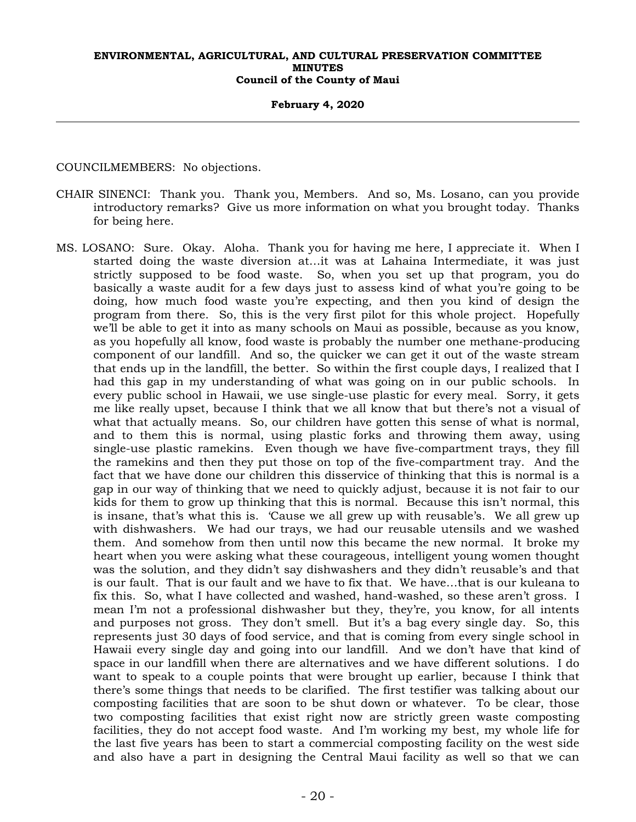#### **February 4, 2020**

COUNCILMEMBERS: No objections.

- CHAIR SINENCI: Thank you. Thank you, Members. And so, Ms. Losano, can you provide introductory remarks? Give us more information on what you brought today. Thanks for being here.
- MS. LOSANO: Sure. Okay. Aloha. Thank you for having me here, I appreciate it. When I started doing the waste diversion at…it was at Lahaina Intermediate, it was just strictly supposed to be food waste. So, when you set up that program, you do basically a waste audit for a few days just to assess kind of what you're going to be doing, how much food waste you're expecting, and then you kind of design the program from there. So, this is the very first pilot for this whole project. Hopefully we'll be able to get it into as many schools on Maui as possible, because as you know, as you hopefully all know, food waste is probably the number one methane-producing component of our landfill. And so, the quicker we can get it out of the waste stream that ends up in the landfill, the better. So within the first couple days, I realized that I had this gap in my understanding of what was going on in our public schools. In every public school in Hawaii, we use single-use plastic for every meal. Sorry, it gets me like really upset, because I think that we all know that but there's not a visual of what that actually means. So, our children have gotten this sense of what is normal, and to them this is normal, using plastic forks and throwing them away, using single-use plastic ramekins. Even though we have five-compartment trays, they fill the ramekins and then they put those on top of the five-compartment tray. And the fact that we have done our children this disservice of thinking that this is normal is a gap in our way of thinking that we need to quickly adjust, because it is not fair to our kids for them to grow up thinking that this is normal. Because this isn't normal, this is insane, that's what this is. 'Cause we all grew up with reusable's. We all grew up with dishwashers. We had our trays, we had our reusable utensils and we washed them. And somehow from then until now this became the new normal. It broke my heart when you were asking what these courageous, intelligent young women thought was the solution, and they didn't say dishwashers and they didn't reusable's and that is our fault. That is our fault and we have to fix that. We have…that is our kuleana to fix this. So, what I have collected and washed, hand-washed, so these aren't gross. I mean I'm not a professional dishwasher but they, they're, you know, for all intents and purposes not gross. They don't smell. But it's a bag every single day. So, this represents just 30 days of food service, and that is coming from every single school in Hawaii every single day and going into our landfill. And we don't have that kind of space in our landfill when there are alternatives and we have different solutions. I do want to speak to a couple points that were brought up earlier, because I think that there's some things that needs to be clarified. The first testifier was talking about our composting facilities that are soon to be shut down or whatever. To be clear, those two composting facilities that exist right now are strictly green waste composting facilities, they do not accept food waste. And I'm working my best, my whole life for the last five years has been to start a commercial composting facility on the west side and also have a part in designing the Central Maui facility as well so that we can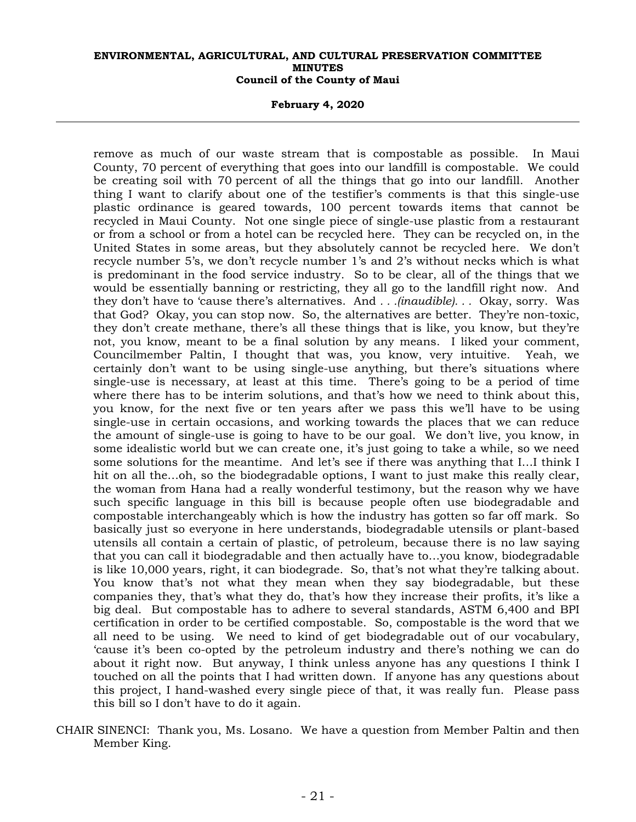**February 4, 2020** 

remove as much of our waste stream that is compostable as possible. In Maui County, 70 percent of everything that goes into our landfill is compostable. We could be creating soil with 70 percent of all the things that go into our landfill. Another thing I want to clarify about one of the testifier's comments is that this single-use plastic ordinance is geared towards, 100 percent towards items that cannot be recycled in Maui County. Not one single piece of single-use plastic from a restaurant or from a school or from a hotel can be recycled here. They can be recycled on, in the United States in some areas, but they absolutely cannot be recycled here. We don't recycle number 5's, we don't recycle number 1's and 2's without necks which is what is predominant in the food service industry. So to be clear, all of the things that we would be essentially banning or restricting, they all go to the landfill right now. And they don't have to 'cause there's alternatives. And *. . .(inaudible). . .* Okay, sorry. Was that God? Okay, you can stop now. So, the alternatives are better. They're non-toxic, they don't create methane, there's all these things that is like, you know, but they're not, you know, meant to be a final solution by any means. I liked your comment, Councilmember Paltin, I thought that was, you know, very intuitive. Yeah, we certainly don't want to be using single-use anything, but there's situations where single-use is necessary, at least at this time. There's going to be a period of time where there has to be interim solutions, and that's how we need to think about this, you know, for the next five or ten years after we pass this we'll have to be using single-use in certain occasions, and working towards the places that we can reduce the amount of single-use is going to have to be our goal. We don't live, you know, in some idealistic world but we can create one, it's just going to take a while, so we need some solutions for the meantime. And let's see if there was anything that I…I think I hit on all the…oh, so the biodegradable options, I want to just make this really clear, the woman from Hana had a really wonderful testimony, but the reason why we have such specific language in this bill is because people often use biodegradable and compostable interchangeably which is how the industry has gotten so far off mark. So basically just so everyone in here understands, biodegradable utensils or plant-based utensils all contain a certain of plastic, of petroleum, because there is no law saying that you can call it biodegradable and then actually have to…you know, biodegradable is like 10,000 years, right, it can biodegrade. So, that's not what they're talking about. You know that's not what they mean when they say biodegradable, but these companies they, that's what they do, that's how they increase their profits, it's like a big deal. But compostable has to adhere to several standards, ASTM 6,400 and BPI certification in order to be certified compostable. So, compostable is the word that we all need to be using. We need to kind of get biodegradable out of our vocabulary, 'cause it's been co-opted by the petroleum industry and there's nothing we can do about it right now. But anyway, I think unless anyone has any questions I think I touched on all the points that I had written down. If anyone has any questions about this project, I hand-washed every single piece of that, it was really fun. Please pass this bill so I don't have to do it again.

CHAIR SINENCI: Thank you, Ms. Losano. We have a question from Member Paltin and then Member King.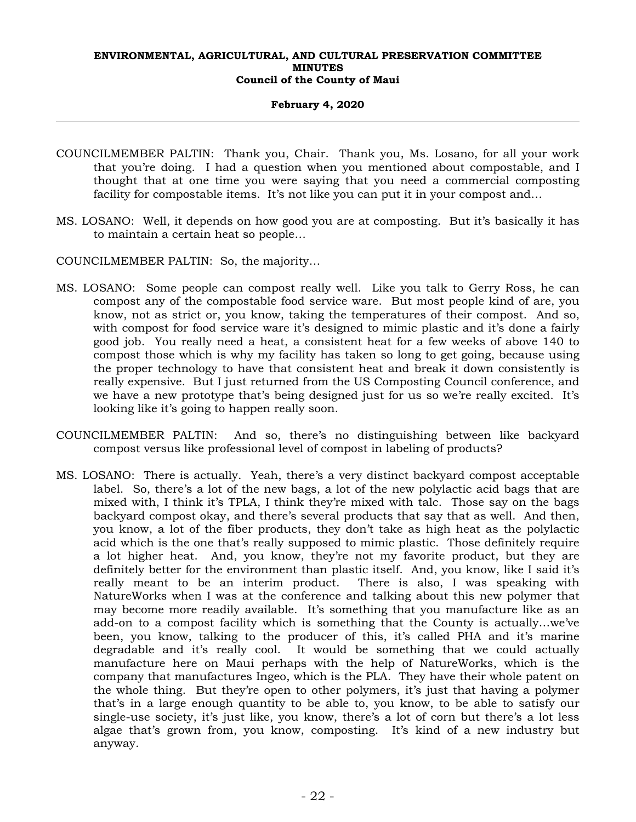## **February 4, 2020**

- COUNCILMEMBER PALTIN: Thank you, Chair. Thank you, Ms. Losano, for all your work that you're doing. I had a question when you mentioned about compostable, and I thought that at one time you were saying that you need a commercial composting facility for compostable items. It's not like you can put it in your compost and...
- MS. LOSANO: Well, it depends on how good you are at composting. But it's basically it has to maintain a certain heat so people…
- COUNCILMEMBER PALTIN: So, the majority…
- MS. LOSANO: Some people can compost really well. Like you talk to Gerry Ross, he can compost any of the compostable food service ware. But most people kind of are, you know, not as strict or, you know, taking the temperatures of their compost. And so, with compost for food service ware it's designed to mimic plastic and it's done a fairly good job. You really need a heat, a consistent heat for a few weeks of above 140 to compost those which is why my facility has taken so long to get going, because using the proper technology to have that consistent heat and break it down consistently is really expensive. But I just returned from the US Composting Council conference, and we have a new prototype that's being designed just for us so we're really excited. It's looking like it's going to happen really soon.
- COUNCILMEMBER PALTIN: And so, there's no distinguishing between like backyard compost versus like professional level of compost in labeling of products?
- MS. LOSANO: There is actually. Yeah, there's a very distinct backyard compost acceptable label. So, there's a lot of the new bags, a lot of the new polylactic acid bags that are mixed with, I think it's TPLA, I think they're mixed with talc. Those say on the bags backyard compost okay, and there's several products that say that as well. And then, you know, a lot of the fiber products, they don't take as high heat as the polylactic acid which is the one that's really supposed to mimic plastic. Those definitely require a lot higher heat. And, you know, they're not my favorite product, but they are definitely better for the environment than plastic itself. And, you know, like I said it's really meant to be an interim product. There is also, I was speaking with NatureWorks when I was at the conference and talking about this new polymer that may become more readily available. It's something that you manufacture like as an add-on to a compost facility which is something that the County is actually…we've been, you know, talking to the producer of this, it's called PHA and it's marine degradable and it's really cool. It would be something that we could actually manufacture here on Maui perhaps with the help of NatureWorks, which is the company that manufactures Ingeo, which is the PLA. They have their whole patent on the whole thing. But they're open to other polymers, it's just that having a polymer that's in a large enough quantity to be able to, you know, to be able to satisfy our single-use society, it's just like, you know, there's a lot of corn but there's a lot less algae that's grown from, you know, composting. It's kind of a new industry but anyway.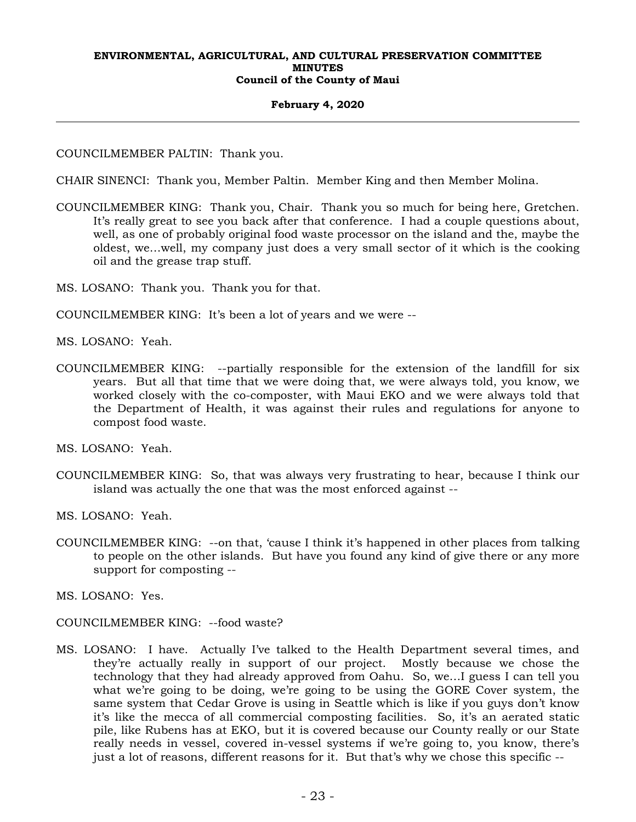## **February 4, 2020**

COUNCILMEMBER PALTIN: Thank you.

CHAIR SINENCI: Thank you, Member Paltin. Member King and then Member Molina.

COUNCILMEMBER KING: Thank you, Chair. Thank you so much for being here, Gretchen. It's really great to see you back after that conference. I had a couple questions about, well, as one of probably original food waste processor on the island and the, maybe the oldest, we…well, my company just does a very small sector of it which is the cooking oil and the grease trap stuff.

MS. LOSANO: Thank you. Thank you for that.

COUNCILMEMBER KING: It's been a lot of years and we were --

MS. LOSANO: Yeah.

COUNCILMEMBER KING: --partially responsible for the extension of the landfill for six years. But all that time that we were doing that, we were always told, you know, we worked closely with the co-composter, with Maui EKO and we were always told that the Department of Health, it was against their rules and regulations for anyone to compost food waste.

MS. LOSANO: Yeah.

COUNCILMEMBER KING: So, that was always very frustrating to hear, because I think our island was actually the one that was the most enforced against --

MS. LOSANO: Yeah.

COUNCILMEMBER KING: --on that, 'cause I think it's happened in other places from talking to people on the other islands. But have you found any kind of give there or any more support for composting --

MS. LOSANO: Yes.

COUNCILMEMBER KING: --food waste?

MS. LOSANO: I have. Actually I've talked to the Health Department several times, and they're actually really in support of our project. Mostly because we chose the technology that they had already approved from Oahu. So, we…I guess I can tell you what we're going to be doing, we're going to be using the GORE Cover system, the same system that Cedar Grove is using in Seattle which is like if you guys don't know it's like the mecca of all commercial composting facilities. So, it's an aerated static pile, like Rubens has at EKO, but it is covered because our County really or our State really needs in vessel, covered in-vessel systems if we're going to, you know, there's just a lot of reasons, different reasons for it. But that's why we chose this specific --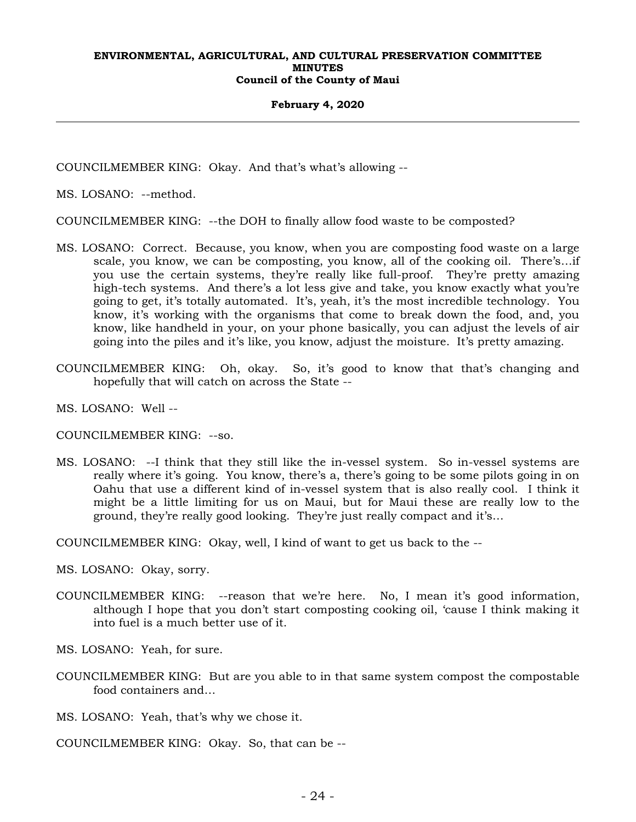#### **February 4, 2020**

COUNCILMEMBER KING: Okay. And that's what's allowing --

MS. LOSANO: --method.

COUNCILMEMBER KING: --the DOH to finally allow food waste to be composted?

- MS. LOSANO: Correct. Because, you know, when you are composting food waste on a large scale, you know, we can be composting, you know, all of the cooking oil. There's…if you use the certain systems, they're really like full-proof. They're pretty amazing high-tech systems. And there's a lot less give and take, you know exactly what you're going to get, it's totally automated. It's, yeah, it's the most incredible technology. You know, it's working with the organisms that come to break down the food, and, you know, like handheld in your, on your phone basically, you can adjust the levels of air going into the piles and it's like, you know, adjust the moisture. It's pretty amazing.
- COUNCILMEMBER KING: Oh, okay. So, it's good to know that that's changing and hopefully that will catch on across the State --
- MS. LOSANO: Well --
- COUNCILMEMBER KING: --so.
- MS. LOSANO: --I think that they still like the in-vessel system. So in-vessel systems are really where it's going. You know, there's a, there's going to be some pilots going in on Oahu that use a different kind of in-vessel system that is also really cool. I think it might be a little limiting for us on Maui, but for Maui these are really low to the ground, they're really good looking. They're just really compact and it's…

COUNCILMEMBER KING: Okay, well, I kind of want to get us back to the --

MS. LOSANO: Okay, sorry.

COUNCILMEMBER KING: --reason that we're here. No, I mean it's good information, although I hope that you don't start composting cooking oil, 'cause I think making it into fuel is a much better use of it.

MS. LOSANO: Yeah, for sure.

COUNCILMEMBER KING: But are you able to in that same system compost the compostable food containers and…

MS. LOSANO: Yeah, that's why we chose it.

COUNCILMEMBER KING: Okay. So, that can be --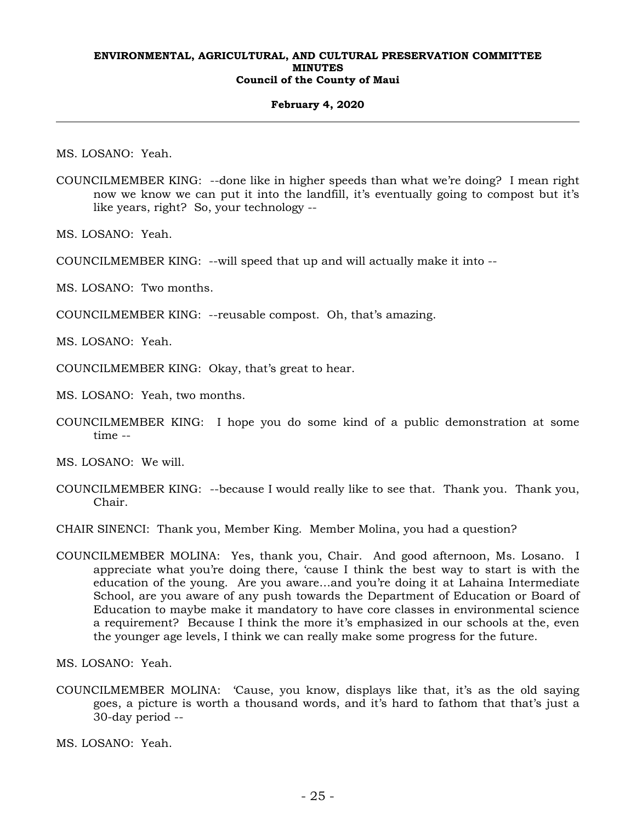#### **February 4, 2020**

MS. LOSANO: Yeah.

COUNCILMEMBER KING: --done like in higher speeds than what we're doing? I mean right now we know we can put it into the landfill, it's eventually going to compost but it's like years, right? So, your technology --

MS. LOSANO: Yeah.

COUNCILMEMBER KING: --will speed that up and will actually make it into --

MS. LOSANO: Two months.

COUNCILMEMBER KING: --reusable compost. Oh, that's amazing.

MS. LOSANO: Yeah.

COUNCILMEMBER KING: Okay, that's great to hear.

MS. LOSANO: Yeah, two months.

COUNCILMEMBER KING: I hope you do some kind of a public demonstration at some time --

MS. LOSANO: We will.

COUNCILMEMBER KING: --because I would really like to see that. Thank you. Thank you, Chair.

CHAIR SINENCI: Thank you, Member King. Member Molina, you had a question?

COUNCILMEMBER MOLINA: Yes, thank you, Chair. And good afternoon, Ms. Losano. I appreciate what you're doing there, 'cause I think the best way to start is with the education of the young. Are you aware…and you're doing it at Lahaina Intermediate School, are you aware of any push towards the Department of Education or Board of Education to maybe make it mandatory to have core classes in environmental science a requirement? Because I think the more it's emphasized in our schools at the, even the younger age levels, I think we can really make some progress for the future.

MS. LOSANO: Yeah.

COUNCILMEMBER MOLINA: 'Cause, you know, displays like that, it's as the old saying goes, a picture is worth a thousand words, and it's hard to fathom that that's just a 30-day period --

MS. LOSANO: Yeah.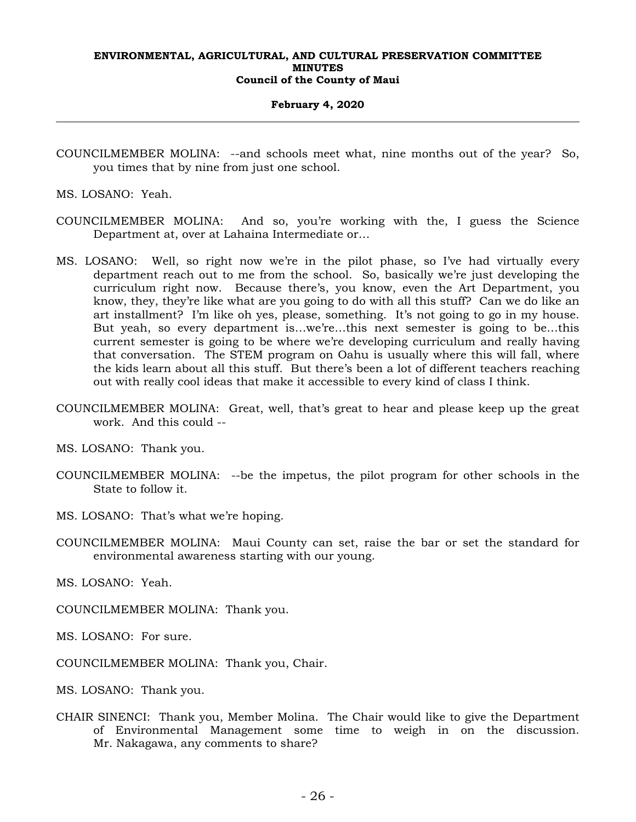#### **February 4, 2020**

COUNCILMEMBER MOLINA: --and schools meet what, nine months out of the year? So, you times that by nine from just one school.

MS. LOSANO: Yeah.

- COUNCILMEMBER MOLINA: And so, you're working with the, I guess the Science Department at, over at Lahaina Intermediate or…
- MS. LOSANO: Well, so right now we're in the pilot phase, so I've had virtually every department reach out to me from the school. So, basically we're just developing the curriculum right now. Because there's, you know, even the Art Department, you know, they, they're like what are you going to do with all this stuff? Can we do like an art installment? I'm like oh yes, please, something. It's not going to go in my house. But yeah, so every department is…we're…this next semester is going to be…this current semester is going to be where we're developing curriculum and really having that conversation. The STEM program on Oahu is usually where this will fall, where the kids learn about all this stuff. But there's been a lot of different teachers reaching out with really cool ideas that make it accessible to every kind of class I think.
- COUNCILMEMBER MOLINA: Great, well, that's great to hear and please keep up the great work. And this could --

MS. LOSANO: Thank you.

- COUNCILMEMBER MOLINA: --be the impetus, the pilot program for other schools in the State to follow it.
- MS. LOSANO: That's what we're hoping.
- COUNCILMEMBER MOLINA: Maui County can set, raise the bar or set the standard for environmental awareness starting with our young.

MS. LOSANO: Yeah.

COUNCILMEMBER MOLINA: Thank you.

MS. LOSANO: For sure.

COUNCILMEMBER MOLINA: Thank you, Chair.

MS. LOSANO: Thank you.

CHAIR SINENCI: Thank you, Member Molina. The Chair would like to give the Department of Environmental Management some time to weigh in on the discussion. Mr. Nakagawa, any comments to share?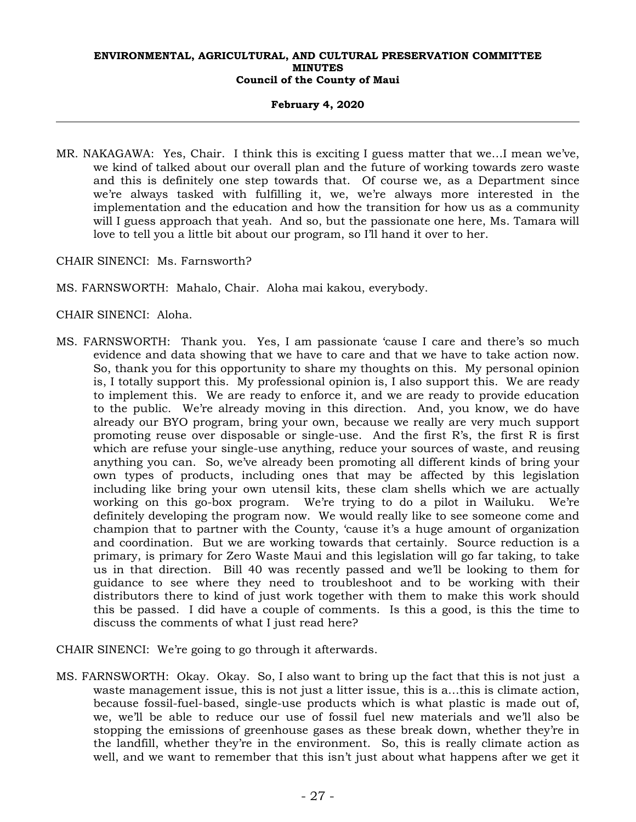## **February 4, 2020**

- MR. NAKAGAWA: Yes, Chair. I think this is exciting I guess matter that we…I mean we've, we kind of talked about our overall plan and the future of working towards zero waste and this is definitely one step towards that. Of course we, as a Department since we're always tasked with fulfilling it, we, we're always more interested in the implementation and the education and how the transition for how us as a community will I guess approach that yeah. And so, but the passionate one here, Ms. Tamara will love to tell you a little bit about our program, so I'll hand it over to her.
- CHAIR SINENCI: Ms. Farnsworth?
- MS. FARNSWORTH: Mahalo, Chair. Aloha mai kakou, everybody.
- CHAIR SINENCI: Aloha.
- MS. FARNSWORTH: Thank you. Yes, I am passionate 'cause I care and there's so much evidence and data showing that we have to care and that we have to take action now. So, thank you for this opportunity to share my thoughts on this. My personal opinion is, I totally support this. My professional opinion is, I also support this. We are ready to implement this. We are ready to enforce it, and we are ready to provide education to the public. We're already moving in this direction. And, you know, we do have already our BYO program, bring your own, because we really are very much support promoting reuse over disposable or single-use. And the first R's, the first R is first which are refuse your single-use anything, reduce your sources of waste, and reusing anything you can. So, we've already been promoting all different kinds of bring your own types of products, including ones that may be affected by this legislation including like bring your own utensil kits, these clam shells which we are actually working on this go-box program. We're trying to do a pilot in Wailuku. We're definitely developing the program now. We would really like to see someone come and champion that to partner with the County, 'cause it's a huge amount of organization and coordination. But we are working towards that certainly. Source reduction is a primary, is primary for Zero Waste Maui and this legislation will go far taking, to take us in that direction. Bill 40 was recently passed and we'll be looking to them for guidance to see where they need to troubleshoot and to be working with their distributors there to kind of just work together with them to make this work should this be passed. I did have a couple of comments. Is this a good, is this the time to discuss the comments of what I just read here?
- CHAIR SINENCI: We're going to go through it afterwards.
- MS. FARNSWORTH: Okay. Okay. So, I also want to bring up the fact that this is not just a waste management issue, this is not just a litter issue, this is a…this is climate action, because fossil-fuel-based, single-use products which is what plastic is made out of, we, we'll be able to reduce our use of fossil fuel new materials and we'll also be stopping the emissions of greenhouse gases as these break down, whether they're in the landfill, whether they're in the environment. So, this is really climate action as well, and we want to remember that this isn't just about what happens after we get it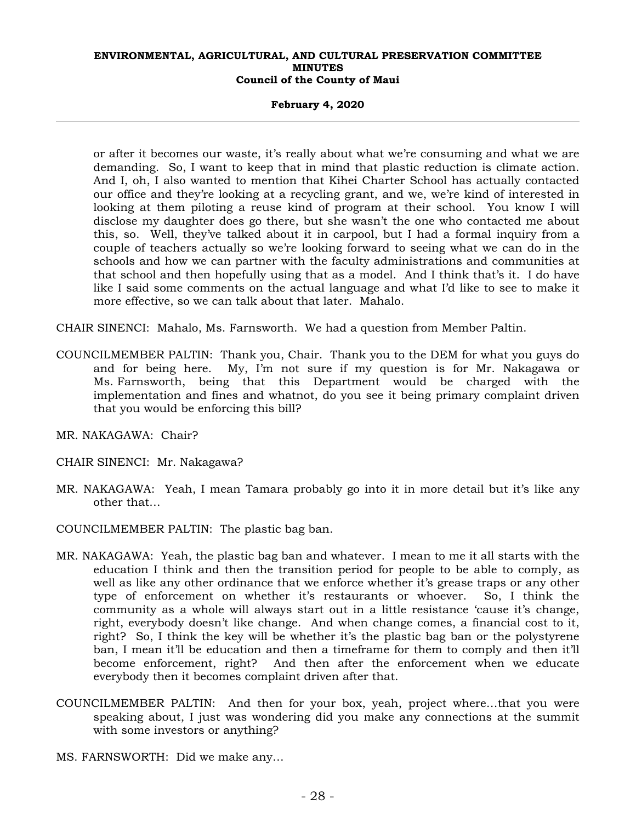#### **February 4, 2020**

or after it becomes our waste, it's really about what we're consuming and what we are demanding. So, I want to keep that in mind that plastic reduction is climate action. And I, oh, I also wanted to mention that Kihei Charter School has actually contacted our office and they're looking at a recycling grant, and we, we're kind of interested in looking at them piloting a reuse kind of program at their school. You know I will disclose my daughter does go there, but she wasn't the one who contacted me about this, so. Well, they've talked about it in carpool, but I had a formal inquiry from a couple of teachers actually so we're looking forward to seeing what we can do in the schools and how we can partner with the faculty administrations and communities at that school and then hopefully using that as a model. And I think that's it. I do have like I said some comments on the actual language and what I'd like to see to make it more effective, so we can talk about that later. Mahalo.

CHAIR SINENCI: Mahalo, Ms. Farnsworth. We had a question from Member Paltin.

- COUNCILMEMBER PALTIN: Thank you, Chair. Thank you to the DEM for what you guys do and for being here. My, I'm not sure if my question is for Mr. Nakagawa or Ms. Farnsworth, being that this Department would be charged with the implementation and fines and whatnot, do you see it being primary complaint driven that you would be enforcing this bill?
- MR. NAKAGAWA: Chair?
- CHAIR SINENCI: Mr. Nakagawa?
- MR. NAKAGAWA: Yeah, I mean Tamara probably go into it in more detail but it's like any other that…
- COUNCILMEMBER PALTIN: The plastic bag ban.
- MR. NAKAGAWA: Yeah, the plastic bag ban and whatever. I mean to me it all starts with the education I think and then the transition period for people to be able to comply, as well as like any other ordinance that we enforce whether it's grease traps or any other type of enforcement on whether it's restaurants or whoever. So, I think the community as a whole will always start out in a little resistance 'cause it's change, right, everybody doesn't like change. And when change comes, a financial cost to it, right? So, I think the key will be whether it's the plastic bag ban or the polystyrene ban, I mean it'll be education and then a timeframe for them to comply and then it'll become enforcement, right? And then after the enforcement when we educate everybody then it becomes complaint driven after that.
- COUNCILMEMBER PALTIN: And then for your box, yeah, project where…that you were speaking about, I just was wondering did you make any connections at the summit with some investors or anything?
- MS. FARNSWORTH: Did we make any…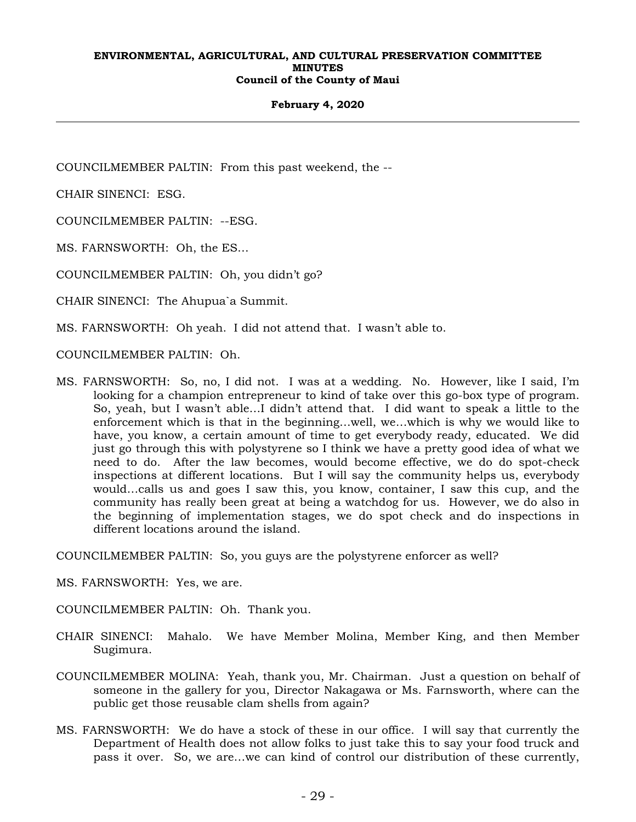#### **February 4, 2020**

COUNCILMEMBER PALTIN: From this past weekend, the --

CHAIR SINENCI: ESG.

COUNCILMEMBER PALTIN: --ESG.

MS. FARNSWORTH: Oh, the ES…

COUNCILMEMBER PALTIN: Oh, you didn't go?

CHAIR SINENCI: The Ahupua`a Summit.

MS. FARNSWORTH: Oh yeah. I did not attend that. I wasn't able to.

COUNCILMEMBER PALTIN: Oh.

MS. FARNSWORTH: So, no, I did not. I was at a wedding. No. However, like I said, I'm looking for a champion entrepreneur to kind of take over this go-box type of program. So, yeah, but I wasn't able…I didn't attend that. I did want to speak a little to the enforcement which is that in the beginning…well, we…which is why we would like to have, you know, a certain amount of time to get everybody ready, educated. We did just go through this with polystyrene so I think we have a pretty good idea of what we need to do. After the law becomes, would become effective, we do do spot-check inspections at different locations. But I will say the community helps us, everybody would…calls us and goes I saw this, you know, container, I saw this cup, and the community has really been great at being a watchdog for us. However, we do also in the beginning of implementation stages, we do spot check and do inspections in different locations around the island.

COUNCILMEMBER PALTIN: So, you guys are the polystyrene enforcer as well?

MS. FARNSWORTH: Yes, we are.

COUNCILMEMBER PALTIN: Oh. Thank you.

- CHAIR SINENCI: Mahalo. We have Member Molina, Member King, and then Member Sugimura.
- COUNCILMEMBER MOLINA: Yeah, thank you, Mr. Chairman. Just a question on behalf of someone in the gallery for you, Director Nakagawa or Ms. Farnsworth, where can the public get those reusable clam shells from again?
- MS. FARNSWORTH: We do have a stock of these in our office. I will say that currently the Department of Health does not allow folks to just take this to say your food truck and pass it over. So, we are…we can kind of control our distribution of these currently,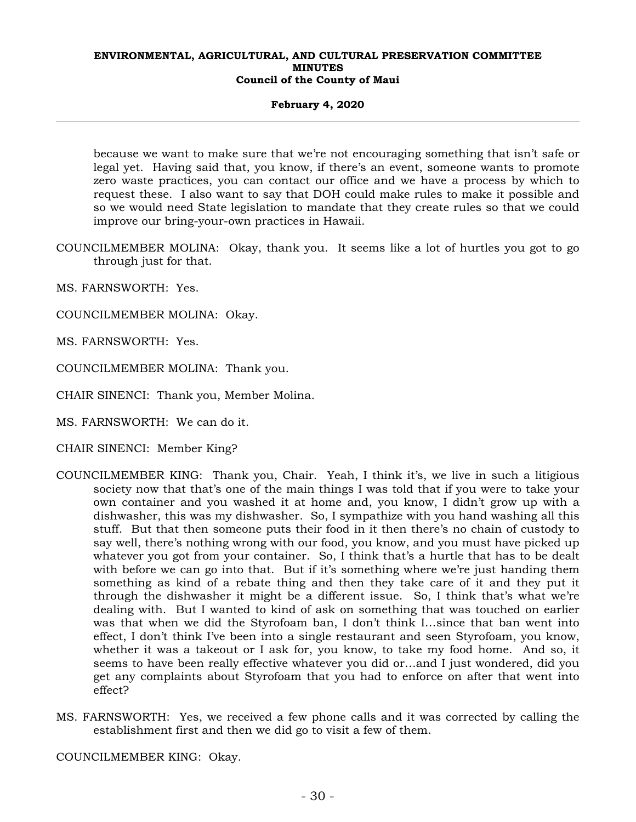## **February 4, 2020**

because we want to make sure that we're not encouraging something that isn't safe or legal yet. Having said that, you know, if there's an event, someone wants to promote zero waste practices, you can contact our office and we have a process by which to request these. I also want to say that DOH could make rules to make it possible and so we would need State legislation to mandate that they create rules so that we could improve our bring-your-own practices in Hawaii.

COUNCILMEMBER MOLINA: Okay, thank you. It seems like a lot of hurtles you got to go through just for that.

MS. FARNSWORTH: Yes.

COUNCILMEMBER MOLINA: Okay.

MS. FARNSWORTH: Yes.

COUNCILMEMBER MOLINA: Thank you.

CHAIR SINENCI: Thank you, Member Molina.

MS. FARNSWORTH: We can do it.

CHAIR SINENCI: Member King?

- COUNCILMEMBER KING: Thank you, Chair. Yeah, I think it's, we live in such a litigious society now that that's one of the main things I was told that if you were to take your own container and you washed it at home and, you know, I didn't grow up with a dishwasher, this was my dishwasher. So, I sympathize with you hand washing all this stuff. But that then someone puts their food in it then there's no chain of custody to say well, there's nothing wrong with our food, you know, and you must have picked up whatever you got from your container. So, I think that's a hurtle that has to be dealt with before we can go into that. But if it's something where we're just handing them something as kind of a rebate thing and then they take care of it and they put it through the dishwasher it might be a different issue. So, I think that's what we're dealing with. But I wanted to kind of ask on something that was touched on earlier was that when we did the Styrofoam ban, I don't think I…since that ban went into effect, I don't think I've been into a single restaurant and seen Styrofoam, you know, whether it was a takeout or I ask for, you know, to take my food home. And so, it seems to have been really effective whatever you did or…and I just wondered, did you get any complaints about Styrofoam that you had to enforce on after that went into effect?
- MS. FARNSWORTH: Yes, we received a few phone calls and it was corrected by calling the establishment first and then we did go to visit a few of them.

COUNCILMEMBER KING: Okay.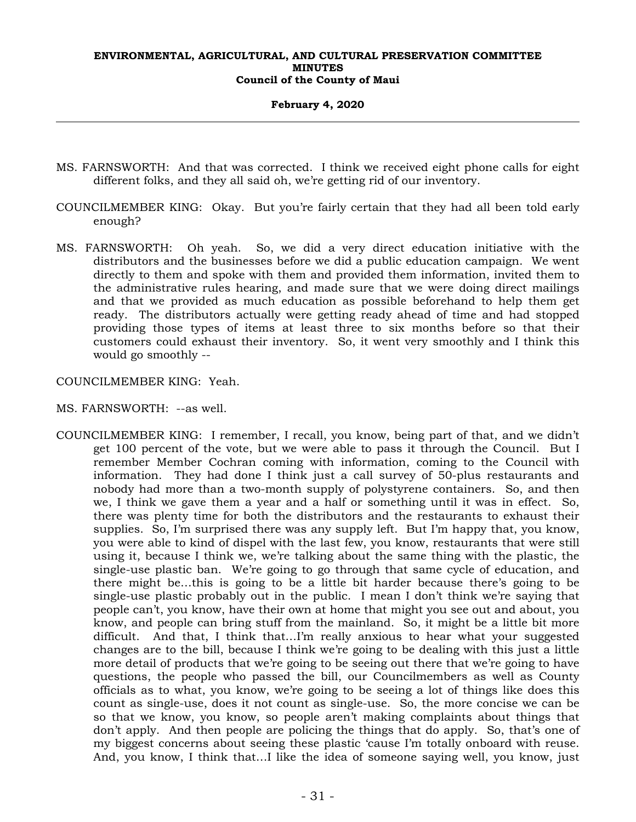#### **February 4, 2020**

- MS. FARNSWORTH: And that was corrected. I think we received eight phone calls for eight different folks, and they all said oh, we're getting rid of our inventory.
- COUNCILMEMBER KING: Okay. But you're fairly certain that they had all been told early enough?
- MS. FARNSWORTH: Oh yeah. So, we did a very direct education initiative with the distributors and the businesses before we did a public education campaign. We went directly to them and spoke with them and provided them information, invited them to the administrative rules hearing, and made sure that we were doing direct mailings and that we provided as much education as possible beforehand to help them get ready. The distributors actually were getting ready ahead of time and had stopped providing those types of items at least three to six months before so that their customers could exhaust their inventory. So, it went very smoothly and I think this would go smoothly --

## COUNCILMEMBER KING: Yeah.

- MS. FARNSWORTH: --as well.
- COUNCILMEMBER KING: I remember, I recall, you know, being part of that, and we didn't get 100 percent of the vote, but we were able to pass it through the Council. But I remember Member Cochran coming with information, coming to the Council with information. They had done I think just a call survey of 50-plus restaurants and nobody had more than a two-month supply of polystyrene containers. So, and then we, I think we gave them a year and a half or something until it was in effect. So, there was plenty time for both the distributors and the restaurants to exhaust their supplies. So, I'm surprised there was any supply left. But I'm happy that, you know, you were able to kind of dispel with the last few, you know, restaurants that were still using it, because I think we, we're talking about the same thing with the plastic, the single-use plastic ban. We're going to go through that same cycle of education, and there might be…this is going to be a little bit harder because there's going to be single-use plastic probably out in the public. I mean I don't think we're saying that people can't, you know, have their own at home that might you see out and about, you know, and people can bring stuff from the mainland. So, it might be a little bit more difficult. And that, I think that…I'm really anxious to hear what your suggested changes are to the bill, because I think we're going to be dealing with this just a little more detail of products that we're going to be seeing out there that we're going to have questions, the people who passed the bill, our Councilmembers as well as County officials as to what, you know, we're going to be seeing a lot of things like does this count as single-use, does it not count as single-use. So, the more concise we can be so that we know, you know, so people aren't making complaints about things that don't apply. And then people are policing the things that do apply. So, that's one of my biggest concerns about seeing these plastic 'cause I'm totally onboard with reuse. And, you know, I think that…I like the idea of someone saying well, you know, just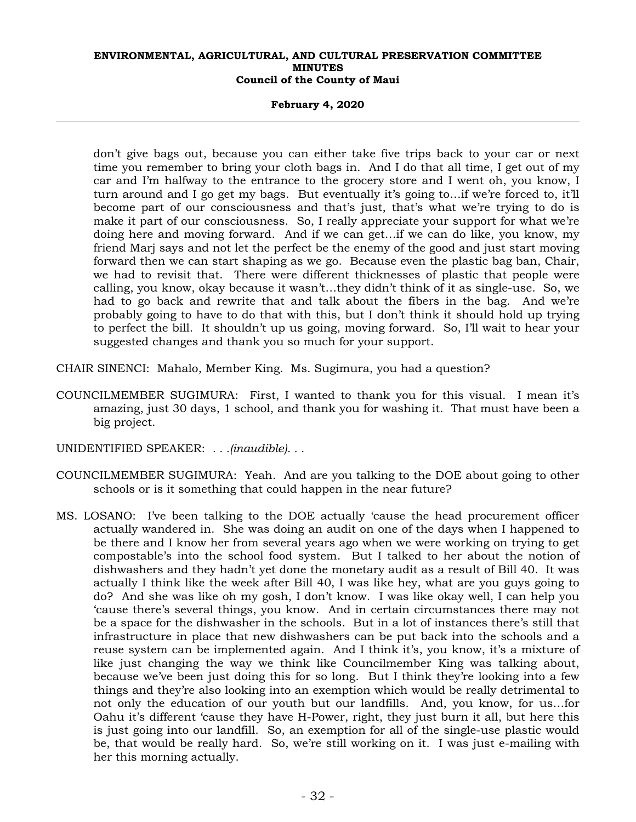#### **February 4, 2020**

don't give bags out, because you can either take five trips back to your car or next time you remember to bring your cloth bags in. And I do that all time, I get out of my car and I'm halfway to the entrance to the grocery store and I went oh, you know, I turn around and I go get my bags. But eventually it's going to…if we're forced to, it'll become part of our consciousness and that's just, that's what we're trying to do is make it part of our consciousness. So, I really appreciate your support for what we're doing here and moving forward. And if we can get…if we can do like, you know, my friend Marj says and not let the perfect be the enemy of the good and just start moving forward then we can start shaping as we go. Because even the plastic bag ban, Chair, we had to revisit that. There were different thicknesses of plastic that people were calling, you know, okay because it wasn't…they didn't think of it as single-use. So, we had to go back and rewrite that and talk about the fibers in the bag. And we're probably going to have to do that with this, but I don't think it should hold up trying to perfect the bill. It shouldn't up us going, moving forward. So, I'll wait to hear your suggested changes and thank you so much for your support.

- CHAIR SINENCI: Mahalo, Member King. Ms. Sugimura, you had a question?
- COUNCILMEMBER SUGIMURA: First, I wanted to thank you for this visual. I mean it's amazing, just 30 days, 1 school, and thank you for washing it. That must have been a big project.
- UNIDENTIFIED SPEAKER: *. . .(inaudible). . .*
- COUNCILMEMBER SUGIMURA: Yeah. And are you talking to the DOE about going to other schools or is it something that could happen in the near future?
- MS. LOSANO: I've been talking to the DOE actually 'cause the head procurement officer actually wandered in. She was doing an audit on one of the days when I happened to be there and I know her from several years ago when we were working on trying to get compostable's into the school food system. But I talked to her about the notion of dishwashers and they hadn't yet done the monetary audit as a result of Bill 40. It was actually I think like the week after Bill 40, I was like hey, what are you guys going to do? And she was like oh my gosh, I don't know. I was like okay well, I can help you 'cause there's several things, you know. And in certain circumstances there may not be a space for the dishwasher in the schools. But in a lot of instances there's still that infrastructure in place that new dishwashers can be put back into the schools and a reuse system can be implemented again. And I think it's, you know, it's a mixture of like just changing the way we think like Councilmember King was talking about, because we've been just doing this for so long. But I think they're looking into a few things and they're also looking into an exemption which would be really detrimental to not only the education of our youth but our landfills. And, you know, for us…for Oahu it's different 'cause they have H-Power, right, they just burn it all, but here this is just going into our landfill. So, an exemption for all of the single-use plastic would be, that would be really hard. So, we're still working on it. I was just e-mailing with her this morning actually.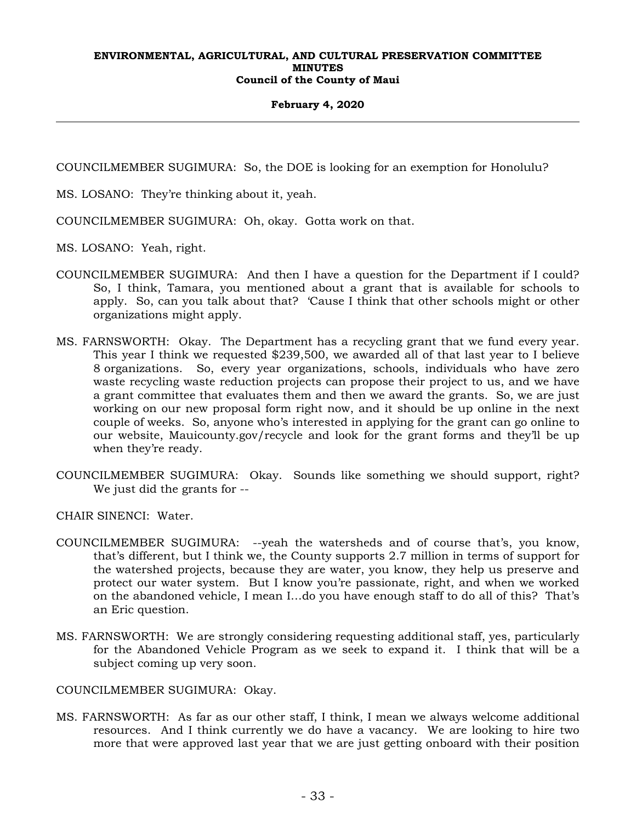## **February 4, 2020**

COUNCILMEMBER SUGIMURA: So, the DOE is looking for an exemption for Honolulu?

MS. LOSANO: They're thinking about it, yeah.

COUNCILMEMBER SUGIMURA: Oh, okay. Gotta work on that.

MS. LOSANO: Yeah, right.

- COUNCILMEMBER SUGIMURA: And then I have a question for the Department if I could? So, I think, Tamara, you mentioned about a grant that is available for schools to apply. So, can you talk about that? 'Cause I think that other schools might or other organizations might apply.
- MS. FARNSWORTH: Okay. The Department has a recycling grant that we fund every year. This year I think we requested \$239,500, we awarded all of that last year to I believe 8 organizations. So, every year organizations, schools, individuals who have zero waste recycling waste reduction projects can propose their project to us, and we have a grant committee that evaluates them and then we award the grants. So, we are just working on our new proposal form right now, and it should be up online in the next couple of weeks. So, anyone who's interested in applying for the grant can go online to our website, Mauicounty.gov/recycle and look for the grant forms and they'll be up when they're ready.
- COUNCILMEMBER SUGIMURA: Okay. Sounds like something we should support, right? We just did the grants for --

CHAIR SINENCI: Water.

- COUNCILMEMBER SUGIMURA: --yeah the watersheds and of course that's, you know, that's different, but I think we, the County supports 2.7 million in terms of support for the watershed projects, because they are water, you know, they help us preserve and protect our water system. But I know you're passionate, right, and when we worked on the abandoned vehicle, I mean I…do you have enough staff to do all of this? That's an Eric question.
- MS. FARNSWORTH: We are strongly considering requesting additional staff, yes, particularly for the Abandoned Vehicle Program as we seek to expand it. I think that will be a subject coming up very soon.

COUNCILMEMBER SUGIMURA: Okay.

MS. FARNSWORTH: As far as our other staff, I think, I mean we always welcome additional resources. And I think currently we do have a vacancy. We are looking to hire two more that were approved last year that we are just getting onboard with their position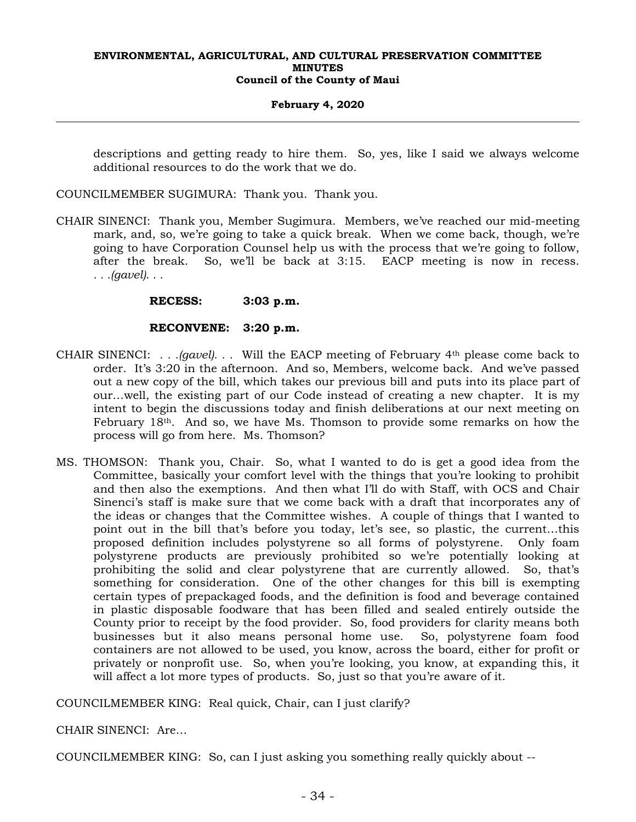#### **February 4, 2020**

descriptions and getting ready to hire them. So, yes, like I said we always welcome additional resources to do the work that we do.

COUNCILMEMBER SUGIMURA: Thank you. Thank you.

CHAIR SINENCI: Thank you, Member Sugimura. Members, we've reached our mid-meeting mark, and, so, we're going to take a quick break. When we come back, though, we're going to have Corporation Counsel help us with the process that we're going to follow, after the break. So, we'll be back at 3:15. EACP meeting is now in recess. *. . .(gavel). . .*

## **RECESS: 3:03 p.m.**

## **RECONVENE: 3:20 p.m.**

- CHAIR SINENCI: *. . .(gavel). . .* Will the EACP meeting of February 4th please come back to order. It's 3:20 in the afternoon. And so, Members, welcome back. And we've passed out a new copy of the bill, which takes our previous bill and puts into its place part of our…well, the existing part of our Code instead of creating a new chapter. It is my intent to begin the discussions today and finish deliberations at our next meeting on February 18th. And so, we have Ms. Thomson to provide some remarks on how the process will go from here. Ms. Thomson?
- MS. THOMSON: Thank you, Chair. So, what I wanted to do is get a good idea from the Committee, basically your comfort level with the things that you're looking to prohibit and then also the exemptions. And then what I'll do with Staff, with OCS and Chair Sinenci's staff is make sure that we come back with a draft that incorporates any of the ideas or changes that the Committee wishes. A couple of things that I wanted to point out in the bill that's before you today, let's see, so plastic, the current…this proposed definition includes polystyrene so all forms of polystyrene. Only foam polystyrene products are previously prohibited so we're potentially looking at prohibiting the solid and clear polystyrene that are currently allowed. So, that's something for consideration. One of the other changes for this bill is exempting certain types of prepackaged foods, and the definition is food and beverage contained in plastic disposable foodware that has been filled and sealed entirely outside the County prior to receipt by the food provider. So, food providers for clarity means both businesses but it also means personal home use. So, polystyrene foam food containers are not allowed to be used, you know, across the board, either for profit or privately or nonprofit use. So, when you're looking, you know, at expanding this, it will affect a lot more types of products. So, just so that you're aware of it.

COUNCILMEMBER KING: Real quick, Chair, can I just clarify?

CHAIR SINENCI: Are…

COUNCILMEMBER KING: So, can I just asking you something really quickly about --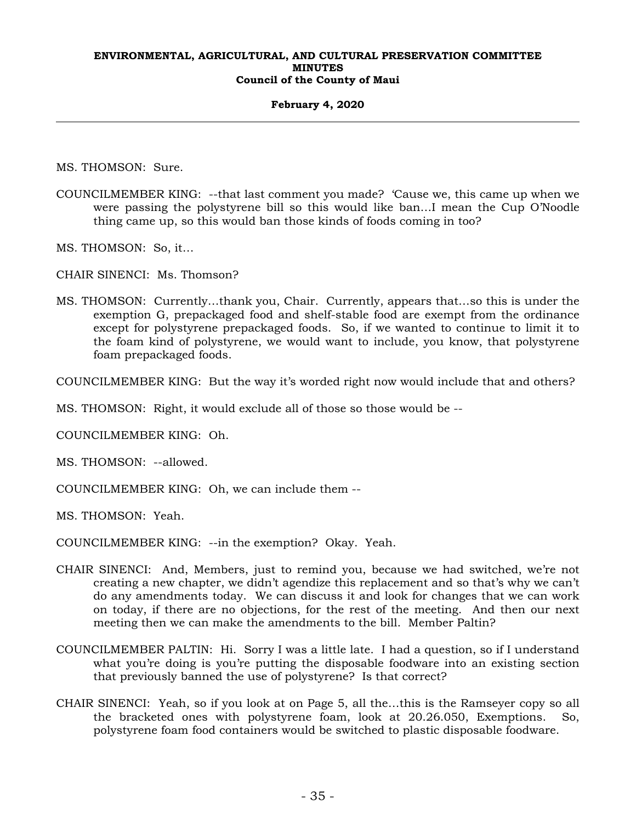#### **February 4, 2020**

MS. THOMSON: Sure.

- COUNCILMEMBER KING: --that last comment you made? 'Cause we, this came up when we were passing the polystyrene bill so this would like ban…I mean the Cup O'Noodle thing came up, so this would ban those kinds of foods coming in too?
- MS. THOMSON: So, it…

CHAIR SINENCI: Ms. Thomson?

MS. THOMSON: Currently…thank you, Chair. Currently, appears that…so this is under the exemption G, prepackaged food and shelf-stable food are exempt from the ordinance except for polystyrene prepackaged foods. So, if we wanted to continue to limit it to the foam kind of polystyrene, we would want to include, you know, that polystyrene foam prepackaged foods.

COUNCILMEMBER KING: But the way it's worded right now would include that and others?

MS. THOMSON: Right, it would exclude all of those so those would be --

COUNCILMEMBER KING: Oh.

MS. THOMSON: --allowed.

COUNCILMEMBER KING: Oh, we can include them --

MS. THOMSON: Yeah.

COUNCILMEMBER KING: --in the exemption? Okay. Yeah.

- CHAIR SINENCI: And, Members, just to remind you, because we had switched, we're not creating a new chapter, we didn't agendize this replacement and so that's why we can't do any amendments today. We can discuss it and look for changes that we can work on today, if there are no objections, for the rest of the meeting. And then our next meeting then we can make the amendments to the bill. Member Paltin?
- COUNCILMEMBER PALTIN: Hi. Sorry I was a little late. I had a question, so if I understand what you're doing is you're putting the disposable foodware into an existing section that previously banned the use of polystyrene? Is that correct?
- CHAIR SINENCI: Yeah, so if you look at on Page 5, all the…this is the Ramseyer copy so all the bracketed ones with polystyrene foam, look at 20.26.050, Exemptions. So, polystyrene foam food containers would be switched to plastic disposable foodware.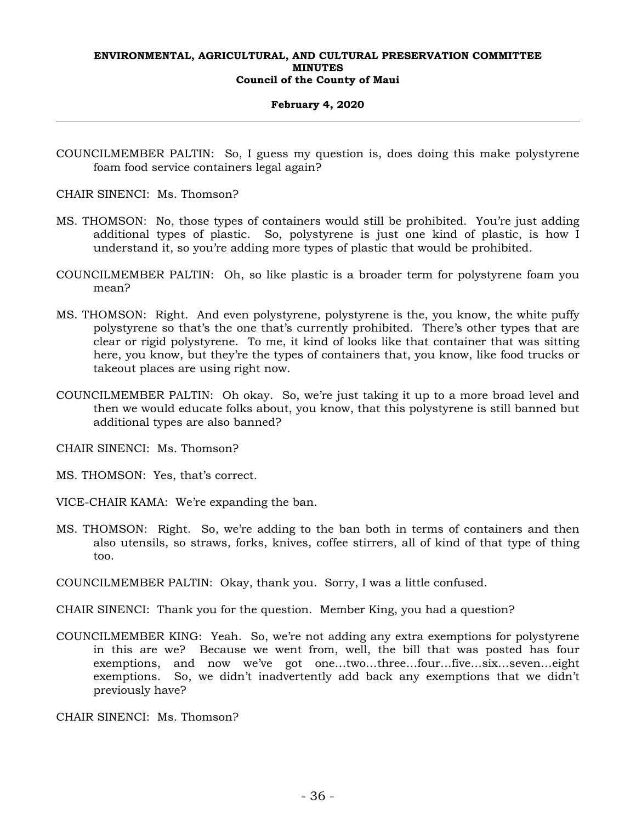#### **February 4, 2020**

- COUNCILMEMBER PALTIN: So, I guess my question is, does doing this make polystyrene foam food service containers legal again?
- CHAIR SINENCI: Ms. Thomson?
- MS. THOMSON: No, those types of containers would still be prohibited. You're just adding additional types of plastic. So, polystyrene is just one kind of plastic, is how I understand it, so you're adding more types of plastic that would be prohibited.
- COUNCILMEMBER PALTIN: Oh, so like plastic is a broader term for polystyrene foam you mean?
- MS. THOMSON: Right. And even polystyrene, polystyrene is the, you know, the white puffy polystyrene so that's the one that's currently prohibited. There's other types that are clear or rigid polystyrene. To me, it kind of looks like that container that was sitting here, you know, but they're the types of containers that, you know, like food trucks or takeout places are using right now.
- COUNCILMEMBER PALTIN: Oh okay. So, we're just taking it up to a more broad level and then we would educate folks about, you know, that this polystyrene is still banned but additional types are also banned?
- CHAIR SINENCI: Ms. Thomson?
- MS. THOMSON: Yes, that's correct.
- VICE-CHAIR KAMA: We're expanding the ban.
- MS. THOMSON: Right. So, we're adding to the ban both in terms of containers and then also utensils, so straws, forks, knives, coffee stirrers, all of kind of that type of thing too.

COUNCILMEMBER PALTIN: Okay, thank you. Sorry, I was a little confused.

CHAIR SINENCI: Thank you for the question. Member King, you had a question?

COUNCILMEMBER KING: Yeah. So, we're not adding any extra exemptions for polystyrene in this are we? Because we went from, well, the bill that was posted has four exemptions, and now we've got one…two…three…four…five…six…seven…eight exemptions. So, we didn't inadvertently add back any exemptions that we didn't previously have?

CHAIR SINENCI: Ms. Thomson?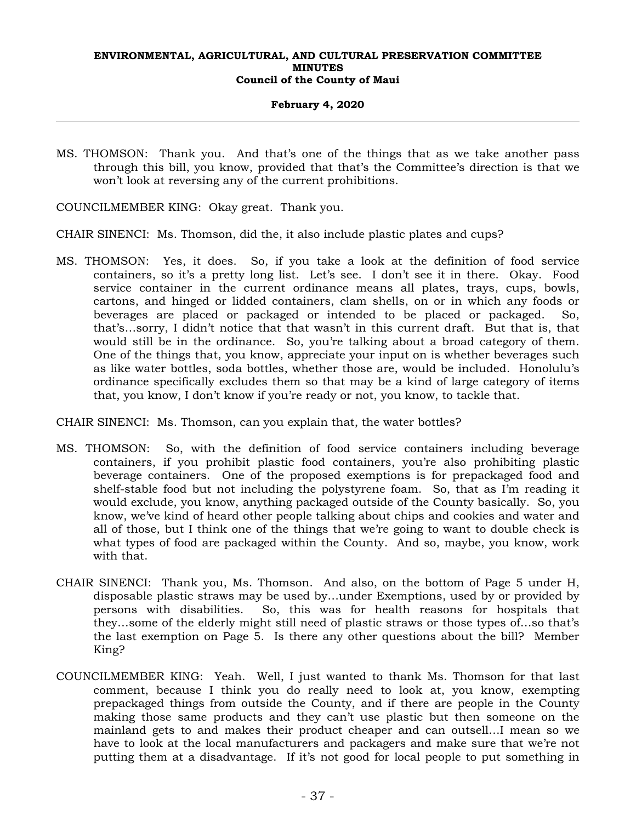## **February 4, 2020**

- MS. THOMSON: Thank you. And that's one of the things that as we take another pass through this bill, you know, provided that that's the Committee's direction is that we won't look at reversing any of the current prohibitions.
- COUNCILMEMBER KING: Okay great. Thank you.
- CHAIR SINENCI: Ms. Thomson, did the, it also include plastic plates and cups?
- MS. THOMSON: Yes, it does. So, if you take a look at the definition of food service containers, so it's a pretty long list. Let's see. I don't see it in there. Okay. Food service container in the current ordinance means all plates, trays, cups, bowls, cartons, and hinged or lidded containers, clam shells, on or in which any foods or beverages are placed or packaged or intended to be placed or packaged. So, that's…sorry, I didn't notice that that wasn't in this current draft. But that is, that would still be in the ordinance. So, you're talking about a broad category of them. One of the things that, you know, appreciate your input on is whether beverages such as like water bottles, soda bottles, whether those are, would be included. Honolulu's ordinance specifically excludes them so that may be a kind of large category of items that, you know, I don't know if you're ready or not, you know, to tackle that.

CHAIR SINENCI: Ms. Thomson, can you explain that, the water bottles?

- MS. THOMSON: So, with the definition of food service containers including beverage containers, if you prohibit plastic food containers, you're also prohibiting plastic beverage containers. One of the proposed exemptions is for prepackaged food and shelf-stable food but not including the polystyrene foam. So, that as I'm reading it would exclude, you know, anything packaged outside of the County basically. So, you know, we've kind of heard other people talking about chips and cookies and water and all of those, but I think one of the things that we're going to want to double check is what types of food are packaged within the County. And so, maybe, you know, work with that.
- CHAIR SINENCI: Thank you, Ms. Thomson. And also, on the bottom of Page 5 under H, disposable plastic straws may be used by…under Exemptions, used by or provided by persons with disabilities. So, this was for health reasons for hospitals that they…some of the elderly might still need of plastic straws or those types of…so that's the last exemption on Page 5. Is there any other questions about the bill? Member King?
- COUNCILMEMBER KING: Yeah. Well, I just wanted to thank Ms. Thomson for that last comment, because I think you do really need to look at, you know, exempting prepackaged things from outside the County, and if there are people in the County making those same products and they can't use plastic but then someone on the mainland gets to and makes their product cheaper and can outsell…I mean so we have to look at the local manufacturers and packagers and make sure that we're not putting them at a disadvantage. If it's not good for local people to put something in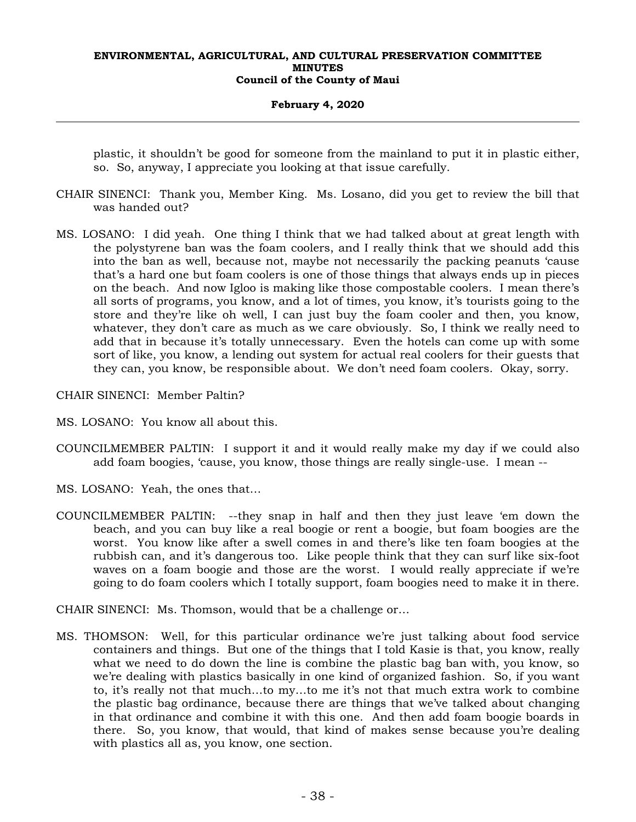## **February 4, 2020**

plastic, it shouldn't be good for someone from the mainland to put it in plastic either, so. So, anyway, I appreciate you looking at that issue carefully.

- CHAIR SINENCI: Thank you, Member King. Ms. Losano, did you get to review the bill that was handed out?
- MS. LOSANO: I did yeah. One thing I think that we had talked about at great length with the polystyrene ban was the foam coolers, and I really think that we should add this into the ban as well, because not, maybe not necessarily the packing peanuts 'cause that's a hard one but foam coolers is one of those things that always ends up in pieces on the beach. And now Igloo is making like those compostable coolers. I mean there's all sorts of programs, you know, and a lot of times, you know, it's tourists going to the store and they're like oh well, I can just buy the foam cooler and then, you know, whatever, they don't care as much as we care obviously. So, I think we really need to add that in because it's totally unnecessary. Even the hotels can come up with some sort of like, you know, a lending out system for actual real coolers for their guests that they can, you know, be responsible about. We don't need foam coolers. Okay, sorry.

CHAIR SINENCI: Member Paltin?

- MS. LOSANO: You know all about this.
- COUNCILMEMBER PALTIN: I support it and it would really make my day if we could also add foam boogies, 'cause, you know, those things are really single-use. I mean --
- MS. LOSANO: Yeah, the ones that…
- COUNCILMEMBER PALTIN: --they snap in half and then they just leave 'em down the beach, and you can buy like a real boogie or rent a boogie, but foam boogies are the worst. You know like after a swell comes in and there's like ten foam boogies at the rubbish can, and it's dangerous too. Like people think that they can surf like six-foot waves on a foam boogie and those are the worst. I would really appreciate if we're going to do foam coolers which I totally support, foam boogies need to make it in there.

CHAIR SINENCI: Ms. Thomson, would that be a challenge or…

MS. THOMSON: Well, for this particular ordinance we're just talking about food service containers and things. But one of the things that I told Kasie is that, you know, really what we need to do down the line is combine the plastic bag ban with, you know, so we're dealing with plastics basically in one kind of organized fashion. So, if you want to, it's really not that much…to my…to me it's not that much extra work to combine the plastic bag ordinance, because there are things that we've talked about changing in that ordinance and combine it with this one. And then add foam boogie boards in there. So, you know, that would, that kind of makes sense because you're dealing with plastics all as, you know, one section.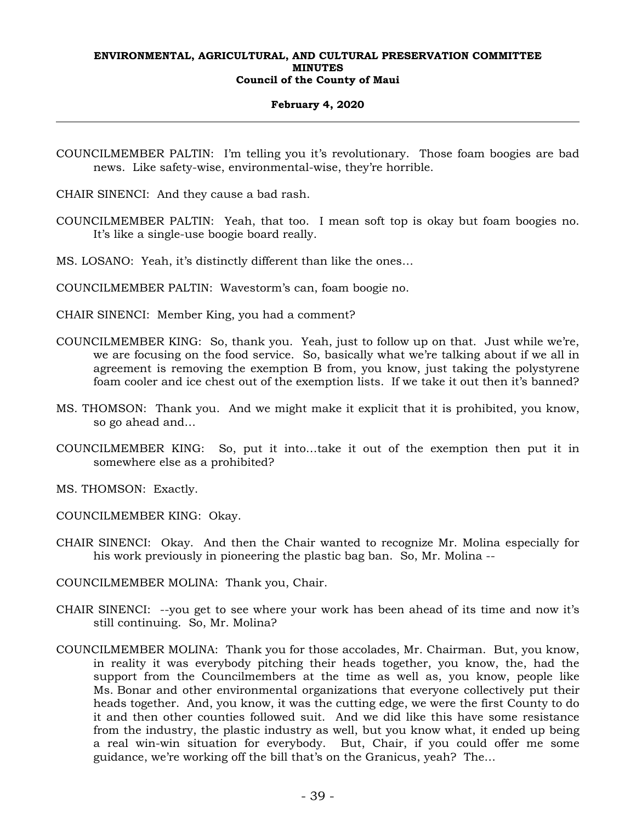## **February 4, 2020**

COUNCILMEMBER PALTIN: I'm telling you it's revolutionary. Those foam boogies are bad news. Like safety-wise, environmental-wise, they're horrible.

CHAIR SINENCI: And they cause a bad rash.

COUNCILMEMBER PALTIN: Yeah, that too. I mean soft top is okay but foam boogies no. It's like a single-use boogie board really.

MS. LOSANO: Yeah, it's distinctly different than like the ones…

COUNCILMEMBER PALTIN: Wavestorm's can, foam boogie no.

CHAIR SINENCI: Member King, you had a comment?

- COUNCILMEMBER KING: So, thank you. Yeah, just to follow up on that. Just while we're, we are focusing on the food service. So, basically what we're talking about if we all in agreement is removing the exemption B from, you know, just taking the polystyrene foam cooler and ice chest out of the exemption lists. If we take it out then it's banned?
- MS. THOMSON: Thank you. And we might make it explicit that it is prohibited, you know, so go ahead and…
- COUNCILMEMBER KING: So, put it into…take it out of the exemption then put it in somewhere else as a prohibited?

MS. THOMSON: Exactly.

COUNCILMEMBER KING: Okay.

CHAIR SINENCI: Okay. And then the Chair wanted to recognize Mr. Molina especially for his work previously in pioneering the plastic bag ban. So, Mr. Molina --

COUNCILMEMBER MOLINA: Thank you, Chair.

- CHAIR SINENCI: --you get to see where your work has been ahead of its time and now it's still continuing. So, Mr. Molina?
- COUNCILMEMBER MOLINA: Thank you for those accolades, Mr. Chairman. But, you know, in reality it was everybody pitching their heads together, you know, the, had the support from the Councilmembers at the time as well as, you know, people like Ms. Bonar and other environmental organizations that everyone collectively put their heads together. And, you know, it was the cutting edge, we were the first County to do it and then other counties followed suit. And we did like this have some resistance from the industry, the plastic industry as well, but you know what, it ended up being a real win-win situation for everybody. But, Chair, if you could offer me some guidance, we're working off the bill that's on the Granicus, yeah? The…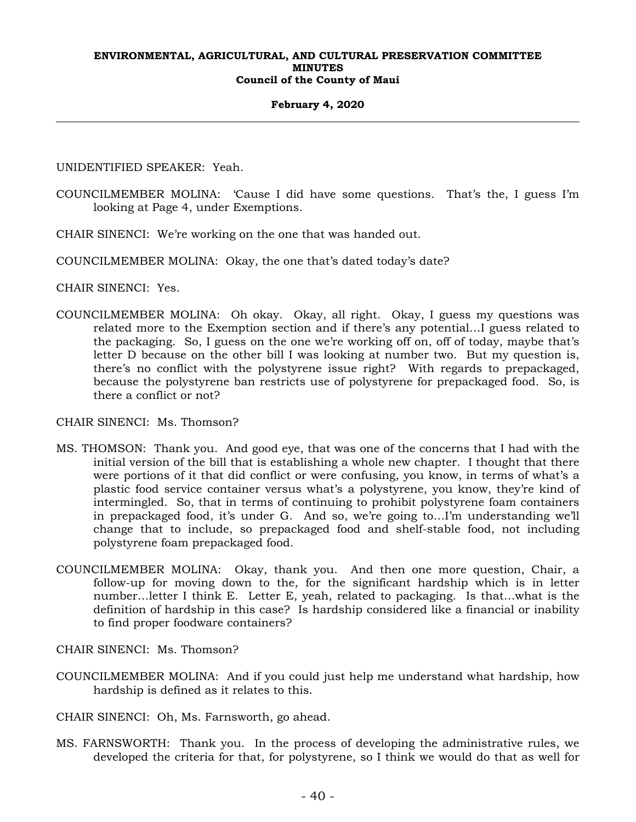## **February 4, 2020**

UNIDENTIFIED SPEAKER: Yeah.

- COUNCILMEMBER MOLINA: 'Cause I did have some questions. That's the, I guess I'm looking at Page 4, under Exemptions.
- CHAIR SINENCI: We're working on the one that was handed out.
- COUNCILMEMBER MOLINA: Okay, the one that's dated today's date?

CHAIR SINENCI: Yes.

COUNCILMEMBER MOLINA: Oh okay. Okay, all right. Okay, I guess my questions was related more to the Exemption section and if there's any potential…I guess related to the packaging. So, I guess on the one we're working off on, off of today, maybe that's letter D because on the other bill I was looking at number two. But my question is, there's no conflict with the polystyrene issue right? With regards to prepackaged, because the polystyrene ban restricts use of polystyrene for prepackaged food. So, is there a conflict or not?

## CHAIR SINENCI: Ms. Thomson?

- MS. THOMSON: Thank you. And good eye, that was one of the concerns that I had with the initial version of the bill that is establishing a whole new chapter. I thought that there were portions of it that did conflict or were confusing, you know, in terms of what's a plastic food service container versus what's a polystyrene, you know, they're kind of intermingled. So, that in terms of continuing to prohibit polystyrene foam containers in prepackaged food, it's under G. And so, we're going to…I'm understanding we'll change that to include, so prepackaged food and shelf-stable food, not including polystyrene foam prepackaged food.
- COUNCILMEMBER MOLINA: Okay, thank you. And then one more question, Chair, a follow-up for moving down to the, for the significant hardship which is in letter number…letter I think E. Letter E, yeah, related to packaging. Is that…what is the definition of hardship in this case? Is hardship considered like a financial or inability to find proper foodware containers?

CHAIR SINENCI: Ms. Thomson?

COUNCILMEMBER MOLINA: And if you could just help me understand what hardship, how hardship is defined as it relates to this.

CHAIR SINENCI: Oh, Ms. Farnsworth, go ahead.

MS. FARNSWORTH: Thank you. In the process of developing the administrative rules, we developed the criteria for that, for polystyrene, so I think we would do that as well for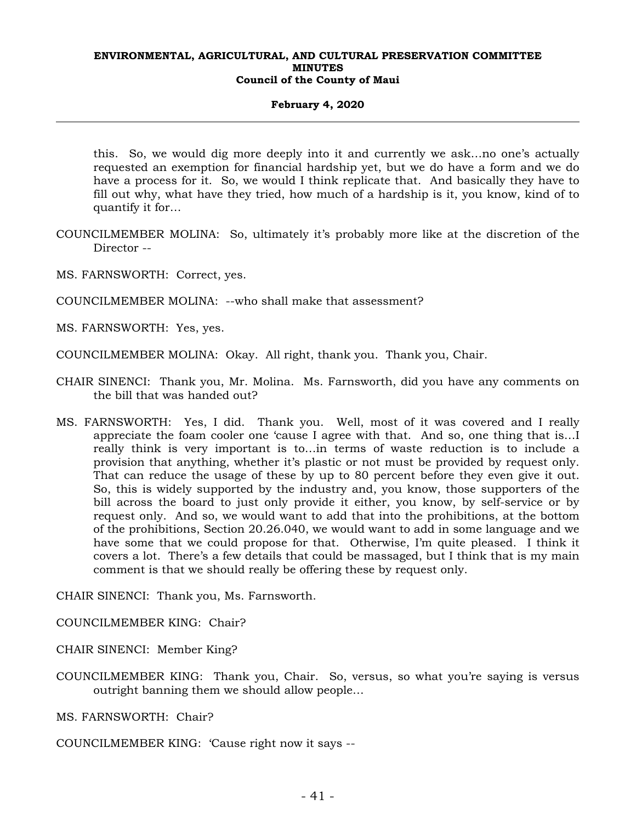## **February 4, 2020**

this. So, we would dig more deeply into it and currently we ask…no one's actually requested an exemption for financial hardship yet, but we do have a form and we do have a process for it. So, we would I think replicate that. And basically they have to fill out why, what have they tried, how much of a hardship is it, you know, kind of to quantify it for…

- COUNCILMEMBER MOLINA: So, ultimately it's probably more like at the discretion of the Director --
- MS. FARNSWORTH: Correct, yes.
- COUNCILMEMBER MOLINA: --who shall make that assessment?
- MS. FARNSWORTH: Yes, yes.
- COUNCILMEMBER MOLINA: Okay. All right, thank you. Thank you, Chair.
- CHAIR SINENCI: Thank you, Mr. Molina. Ms. Farnsworth, did you have any comments on the bill that was handed out?
- MS. FARNSWORTH: Yes, I did. Thank you. Well, most of it was covered and I really appreciate the foam cooler one 'cause I agree with that. And so, one thing that is…I really think is very important is to…in terms of waste reduction is to include a provision that anything, whether it's plastic or not must be provided by request only. That can reduce the usage of these by up to 80 percent before they even give it out. So, this is widely supported by the industry and, you know, those supporters of the bill across the board to just only provide it either, you know, by self-service or by request only. And so, we would want to add that into the prohibitions, at the bottom of the prohibitions, Section 20.26.040, we would want to add in some language and we have some that we could propose for that. Otherwise, I'm quite pleased. I think it covers a lot. There's a few details that could be massaged, but I think that is my main comment is that we should really be offering these by request only.

CHAIR SINENCI: Thank you, Ms. Farnsworth.

COUNCILMEMBER KING: Chair?

CHAIR SINENCI: Member King?

- COUNCILMEMBER KING: Thank you, Chair. So, versus, so what you're saying is versus outright banning them we should allow people…
- MS. FARNSWORTH: Chair?

COUNCILMEMBER KING: 'Cause right now it says --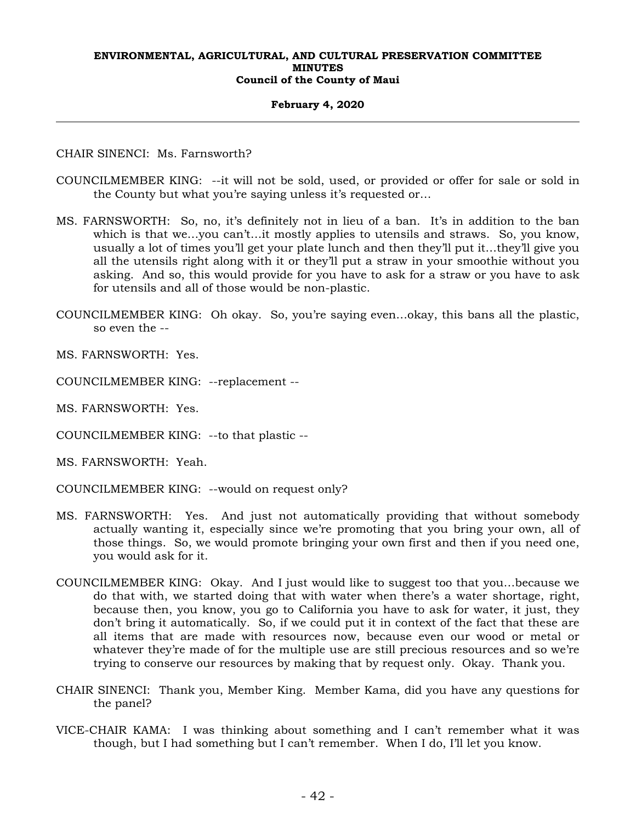#### **February 4, 2020**

CHAIR SINENCI: Ms. Farnsworth?

- COUNCILMEMBER KING: --it will not be sold, used, or provided or offer for sale or sold in the County but what you're saying unless it's requested or…
- MS. FARNSWORTH: So, no, it's definitely not in lieu of a ban. It's in addition to the ban which is that we...you can't...it mostly applies to utensils and straws. So, you know, usually a lot of times you'll get your plate lunch and then they'll put it…they'll give you all the utensils right along with it or they'll put a straw in your smoothie without you asking. And so, this would provide for you have to ask for a straw or you have to ask for utensils and all of those would be non-plastic.
- COUNCILMEMBER KING: Oh okay. So, you're saying even…okay, this bans all the plastic, so even the --

MS. FARNSWORTH: Yes.

- COUNCILMEMBER KING: --replacement --
- MS. FARNSWORTH: Yes.
- COUNCILMEMBER KING: --to that plastic --
- MS. FARNSWORTH: Yeah.
- COUNCILMEMBER KING: --would on request only?
- MS. FARNSWORTH: Yes. And just not automatically providing that without somebody actually wanting it, especially since we're promoting that you bring your own, all of those things. So, we would promote bringing your own first and then if you need one, you would ask for it.
- COUNCILMEMBER KING: Okay. And I just would like to suggest too that you…because we do that with, we started doing that with water when there's a water shortage, right, because then, you know, you go to California you have to ask for water, it just, they don't bring it automatically. So, if we could put it in context of the fact that these are all items that are made with resources now, because even our wood or metal or whatever they're made of for the multiple use are still precious resources and so we're trying to conserve our resources by making that by request only. Okay. Thank you.
- CHAIR SINENCI: Thank you, Member King. Member Kama, did you have any questions for the panel?
- VICE-CHAIR KAMA: I was thinking about something and I can't remember what it was though, but I had something but I can't remember. When I do, I'll let you know.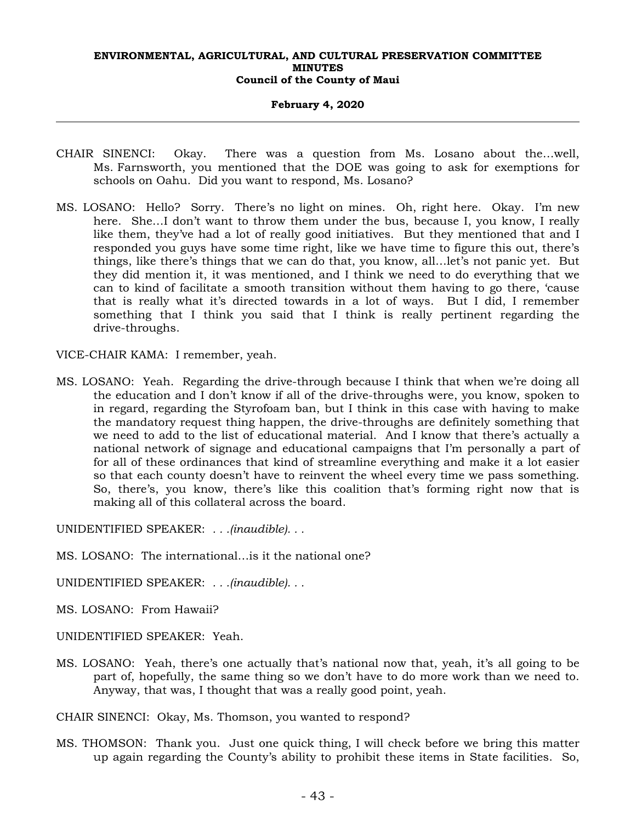#### **February 4, 2020**

- CHAIR SINENCI: Okay. There was a question from Ms. Losano about the…well, Ms. Farnsworth, you mentioned that the DOE was going to ask for exemptions for schools on Oahu. Did you want to respond, Ms. Losano?
- MS. LOSANO: Hello? Sorry. There's no light on mines. Oh, right here. Okay. I'm new here. She…I don't want to throw them under the bus, because I, you know, I really like them, they've had a lot of really good initiatives. But they mentioned that and I responded you guys have some time right, like we have time to figure this out, there's things, like there's things that we can do that, you know, all…let's not panic yet. But they did mention it, it was mentioned, and I think we need to do everything that we can to kind of facilitate a smooth transition without them having to go there, 'cause that is really what it's directed towards in a lot of ways. But I did, I remember something that I think you said that I think is really pertinent regarding the drive-throughs.

VICE-CHAIR KAMA: I remember, yeah.

MS. LOSANO: Yeah. Regarding the drive-through because I think that when we're doing all the education and I don't know if all of the drive-throughs were, you know, spoken to in regard, regarding the Styrofoam ban, but I think in this case with having to make the mandatory request thing happen, the drive-throughs are definitely something that we need to add to the list of educational material. And I know that there's actually a national network of signage and educational campaigns that I'm personally a part of for all of these ordinances that kind of streamline everything and make it a lot easier so that each county doesn't have to reinvent the wheel every time we pass something. So, there's, you know, there's like this coalition that's forming right now that is making all of this collateral across the board.

UNIDENTIFIED SPEAKER: *. . .(inaudible). . .*

MS. LOSANO: The international…is it the national one?

UNIDENTIFIED SPEAKER: *. . .(inaudible). . .*

MS. LOSANO: From Hawaii?

UNIDENTIFIED SPEAKER: Yeah.

MS. LOSANO: Yeah, there's one actually that's national now that, yeah, it's all going to be part of, hopefully, the same thing so we don't have to do more work than we need to. Anyway, that was, I thought that was a really good point, yeah.

CHAIR SINENCI: Okay, Ms. Thomson, you wanted to respond?

MS. THOMSON: Thank you. Just one quick thing, I will check before we bring this matter up again regarding the County's ability to prohibit these items in State facilities. So,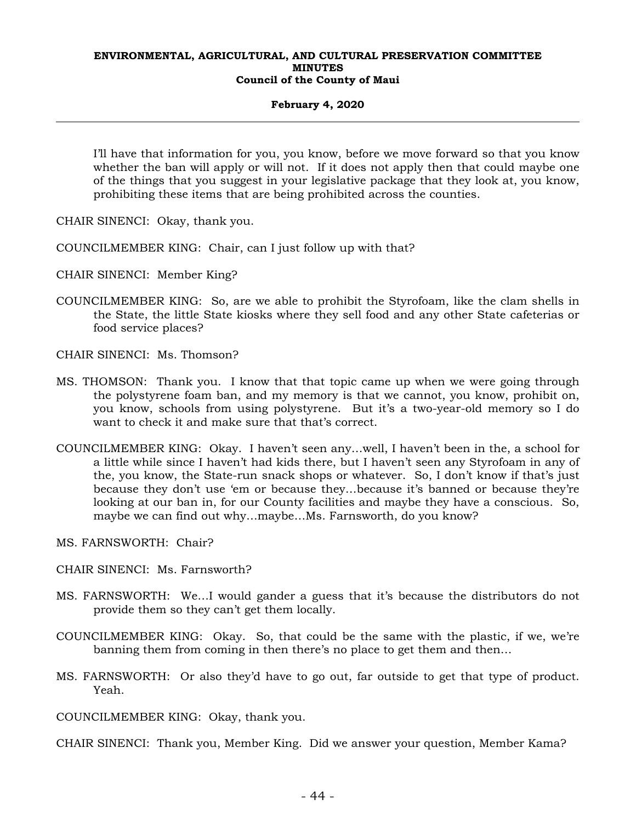#### **February 4, 2020**

I'll have that information for you, you know, before we move forward so that you know whether the ban will apply or will not. If it does not apply then that could maybe one of the things that you suggest in your legislative package that they look at, you know, prohibiting these items that are being prohibited across the counties.

CHAIR SINENCI: Okay, thank you.

- COUNCILMEMBER KING: Chair, can I just follow up with that?
- CHAIR SINENCI: Member King?
- COUNCILMEMBER KING: So, are we able to prohibit the Styrofoam, like the clam shells in the State, the little State kiosks where they sell food and any other State cafeterias or food service places?
- CHAIR SINENCI: Ms. Thomson?
- MS. THOMSON: Thank you. I know that that topic came up when we were going through the polystyrene foam ban, and my memory is that we cannot, you know, prohibit on, you know, schools from using polystyrene. But it's a two-year-old memory so I do want to check it and make sure that that's correct.
- COUNCILMEMBER KING: Okay. I haven't seen any…well, I haven't been in the, a school for a little while since I haven't had kids there, but I haven't seen any Styrofoam in any of the, you know, the State-run snack shops or whatever. So, I don't know if that's just because they don't use 'em or because they…because it's banned or because they're looking at our ban in, for our County facilities and maybe they have a conscious. So, maybe we can find out why…maybe…Ms. Farnsworth, do you know?
- MS. FARNSWORTH: Chair?
- CHAIR SINENCI: Ms. Farnsworth?
- MS. FARNSWORTH: We…I would gander a guess that it's because the distributors do not provide them so they can't get them locally.
- COUNCILMEMBER KING: Okay. So, that could be the same with the plastic, if we, we're banning them from coming in then there's no place to get them and then…
- MS. FARNSWORTH: Or also they'd have to go out, far outside to get that type of product. Yeah.

COUNCILMEMBER KING: Okay, thank you.

CHAIR SINENCI: Thank you, Member King. Did we answer your question, Member Kama?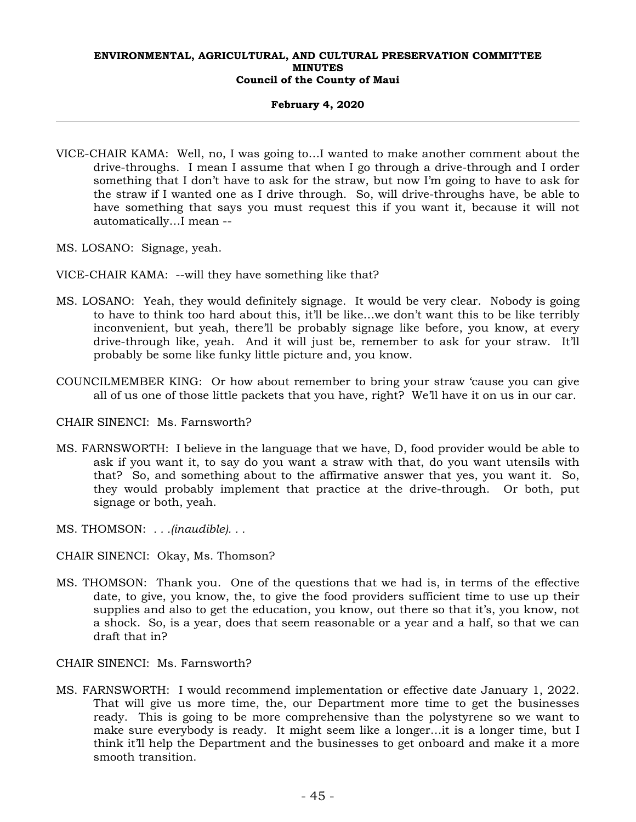## **February 4, 2020**

- VICE-CHAIR KAMA: Well, no, I was going to…I wanted to make another comment about the drive-throughs. I mean I assume that when I go through a drive-through and I order something that I don't have to ask for the straw, but now I'm going to have to ask for the straw if I wanted one as I drive through. So, will drive-throughs have, be able to have something that says you must request this if you want it, because it will not automatically…I mean --
- MS. LOSANO: Signage, yeah.
- VICE-CHAIR KAMA: --will they have something like that?
- MS. LOSANO: Yeah, they would definitely signage. It would be very clear. Nobody is going to have to think too hard about this, it'll be like…we don't want this to be like terribly inconvenient, but yeah, there'll be probably signage like before, you know, at every drive-through like, yeah. And it will just be, remember to ask for your straw. It'll probably be some like funky little picture and, you know.
- COUNCILMEMBER KING: Or how about remember to bring your straw 'cause you can give all of us one of those little packets that you have, right? We'll have it on us in our car.

CHAIR SINENCI: Ms. Farnsworth?

- MS. FARNSWORTH: I believe in the language that we have, D, food provider would be able to ask if you want it, to say do you want a straw with that, do you want utensils with that? So, and something about to the affirmative answer that yes, you want it. So, they would probably implement that practice at the drive-through. Or both, put signage or both, yeah.
- MS. THOMSON: *. . .(inaudible). . .*
- CHAIR SINENCI: Okay, Ms. Thomson?
- MS. THOMSON: Thank you. One of the questions that we had is, in terms of the effective date, to give, you know, the, to give the food providers sufficient time to use up their supplies and also to get the education, you know, out there so that it's, you know, not a shock. So, is a year, does that seem reasonable or a year and a half, so that we can draft that in?

## CHAIR SINENCI: Ms. Farnsworth?

MS. FARNSWORTH: I would recommend implementation or effective date January 1, 2022. That will give us more time, the, our Department more time to get the businesses ready. This is going to be more comprehensive than the polystyrene so we want to make sure everybody is ready. It might seem like a longer…it is a longer time, but I think it'll help the Department and the businesses to get onboard and make it a more smooth transition.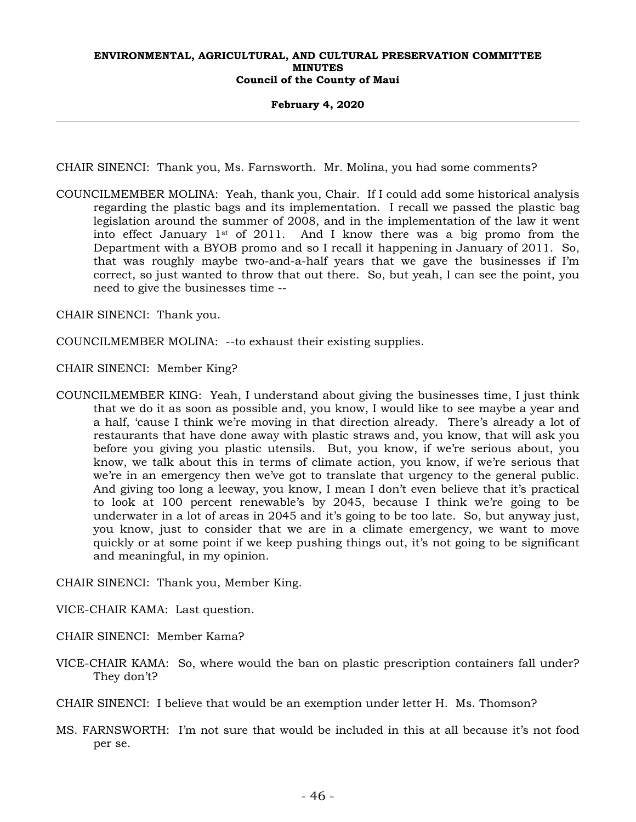#### **February 4, 2020**

CHAIR SINENCI: Thank you, Ms. Farnsworth. Mr. Molina, you had some comments?

COUNCILMEMBER MOLINA: Yeah, thank you, Chair. If I could add some historical analysis regarding the plastic bags and its implementation. I recall we passed the plastic bag legislation around the summer of 2008, and in the implementation of the law it went into effect January  $1^{st}$  of 2011. And I know there was a big promo from the Department with a BYOB promo and so I recall it happening in January of 2011. So, that was roughly maybe two-and-a-half years that we gave the businesses if I'm correct, so just wanted to throw that out there. So, but yeah, I can see the point, you need to give the businesses time --

CHAIR SINENCI: Thank you.

- COUNCILMEMBER MOLINA: --to exhaust their existing supplies.
- CHAIR SINENCI: Member King?
- COUNCILMEMBER KING: Yeah, I understand about giving the businesses time, I just think that we do it as soon as possible and, you know, I would like to see maybe a year and a half, 'cause I think we're moving in that direction already. There's already a lot of restaurants that have done away with plastic straws and, you know, that will ask you before you giving you plastic utensils. But, you know, if we're serious about, you know, we talk about this in terms of climate action, you know, if we're serious that we're in an emergency then we've got to translate that urgency to the general public. And giving too long a leeway, you know, I mean I don't even believe that it's practical to look at 100 percent renewable's by 2045, because I think we're going to be underwater in a lot of areas in 2045 and it's going to be too late. So, but anyway just, you know, just to consider that we are in a climate emergency, we want to move quickly or at some point if we keep pushing things out, it's not going to be significant and meaningful, in my opinion.

CHAIR SINENCI: Thank you, Member King.

- VICE-CHAIR KAMA: Last question.
- CHAIR SINENCI: Member Kama?
- VICE-CHAIR KAMA: So, where would the ban on plastic prescription containers fall under? They don't?

CHAIR SINENCI: I believe that would be an exemption under letter H. Ms. Thomson?

MS. FARNSWORTH: I'm not sure that would be included in this at all because it's not food per se.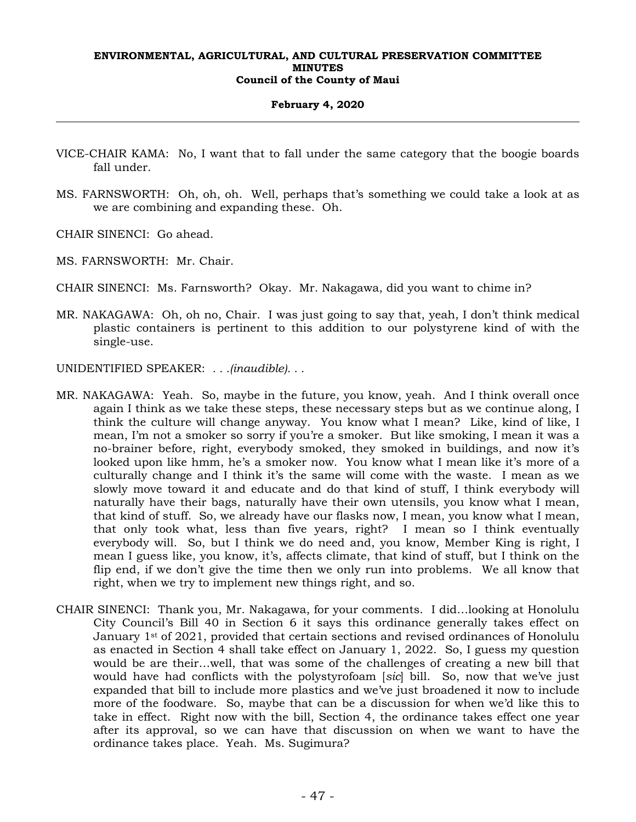## **February 4, 2020**

- VICE-CHAIR KAMA: No, I want that to fall under the same category that the boogie boards fall under.
- MS. FARNSWORTH: Oh, oh, oh. Well, perhaps that's something we could take a look at as we are combining and expanding these. Oh.

CHAIR SINENCI: Go ahead.

- MS. FARNSWORTH: Mr. Chair.
- CHAIR SINENCI: Ms. Farnsworth? Okay. Mr. Nakagawa, did you want to chime in?
- MR. NAKAGAWA: Oh, oh no, Chair. I was just going to say that, yeah, I don't think medical plastic containers is pertinent to this addition to our polystyrene kind of with the single-use.

UNIDENTIFIED SPEAKER: *. . .(inaudible). . .*

- MR. NAKAGAWA: Yeah. So, maybe in the future, you know, yeah. And I think overall once again I think as we take these steps, these necessary steps but as we continue along, I think the culture will change anyway. You know what I mean? Like, kind of like, I mean, I'm not a smoker so sorry if you're a smoker. But like smoking, I mean it was a no-brainer before, right, everybody smoked, they smoked in buildings, and now it's looked upon like hmm, he's a smoker now. You know what I mean like it's more of a culturally change and I think it's the same will come with the waste. I mean as we slowly move toward it and educate and do that kind of stuff, I think everybody will naturally have their bags, naturally have their own utensils, you know what I mean, that kind of stuff. So, we already have our flasks now, I mean, you know what I mean, that only took what, less than five years, right? I mean so I think eventually everybody will. So, but I think we do need and, you know, Member King is right, I mean I guess like, you know, it's, affects climate, that kind of stuff, but I think on the flip end, if we don't give the time then we only run into problems. We all know that right, when we try to implement new things right, and so.
- CHAIR SINENCI: Thank you, Mr. Nakagawa, for your comments. I did…looking at Honolulu City Council's Bill 40 in Section 6 it says this ordinance generally takes effect on January 1<sup>st</sup> of 2021, provided that certain sections and revised ordinances of Honolulu as enacted in Section 4 shall take effect on January 1, 2022. So, I guess my question would be are their…well, that was some of the challenges of creating a new bill that would have had conflicts with the polystyrofoam [*sic*] bill. So, now that we've just expanded that bill to include more plastics and we've just broadened it now to include more of the foodware. So, maybe that can be a discussion for when we'd like this to take in effect. Right now with the bill, Section 4, the ordinance takes effect one year after its approval, so we can have that discussion on when we want to have the ordinance takes place. Yeah. Ms. Sugimura?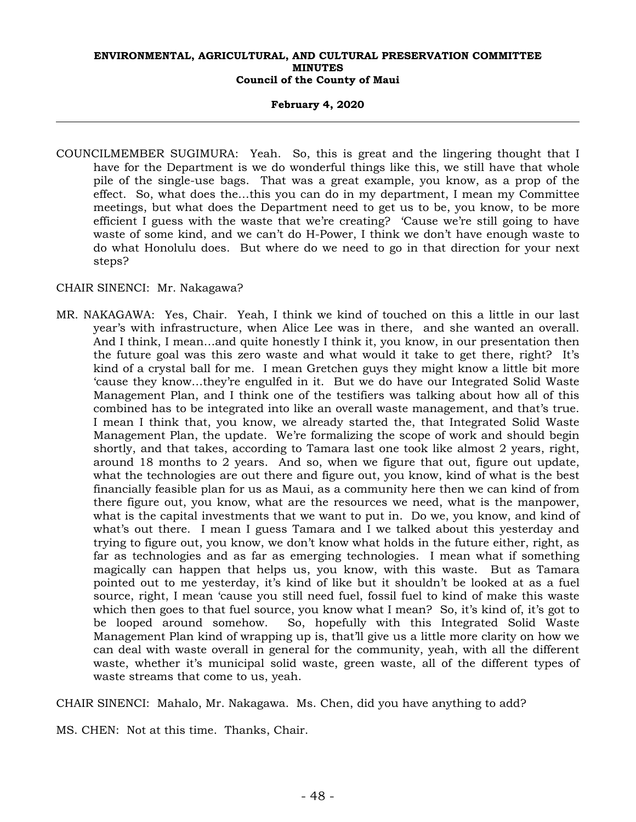#### **February 4, 2020**

COUNCILMEMBER SUGIMURA: Yeah. So, this is great and the lingering thought that I have for the Department is we do wonderful things like this, we still have that whole pile of the single-use bags. That was a great example, you know, as a prop of the effect. So, what does the…this you can do in my department, I mean my Committee meetings, but what does the Department need to get us to be, you know, to be more efficient I guess with the waste that we're creating? 'Cause we're still going to have waste of some kind, and we can't do H-Power, I think we don't have enough waste to do what Honolulu does. But where do we need to go in that direction for your next steps?

## CHAIR SINENCI: Mr. Nakagawa?

MR. NAKAGAWA: Yes, Chair. Yeah, I think we kind of touched on this a little in our last year's with infrastructure, when Alice Lee was in there, and she wanted an overall. And I think, I mean…and quite honestly I think it, you know, in our presentation then the future goal was this zero waste and what would it take to get there, right? It's kind of a crystal ball for me. I mean Gretchen guys they might know a little bit more 'cause they know…they're engulfed in it. But we do have our Integrated Solid Waste Management Plan, and I think one of the testifiers was talking about how all of this combined has to be integrated into like an overall waste management, and that's true. I mean I think that, you know, we already started the, that Integrated Solid Waste Management Plan, the update. We're formalizing the scope of work and should begin shortly, and that takes, according to Tamara last one took like almost 2 years, right, around 18 months to 2 years. And so, when we figure that out, figure out update, what the technologies are out there and figure out, you know, kind of what is the best financially feasible plan for us as Maui, as a community here then we can kind of from there figure out, you know, what are the resources we need, what is the manpower, what is the capital investments that we want to put in. Do we, you know, and kind of what's out there. I mean I guess Tamara and I we talked about this yesterday and trying to figure out, you know, we don't know what holds in the future either, right, as far as technologies and as far as emerging technologies. I mean what if something magically can happen that helps us, you know, with this waste. But as Tamara pointed out to me yesterday, it's kind of like but it shouldn't be looked at as a fuel source, right, I mean 'cause you still need fuel, fossil fuel to kind of make this waste which then goes to that fuel source, you know what I mean? So, it's kind of, it's got to be looped around somehow. So, hopefully with this Integrated Solid Waste Management Plan kind of wrapping up is, that'll give us a little more clarity on how we can deal with waste overall in general for the community, yeah, with all the different waste, whether it's municipal solid waste, green waste, all of the different types of waste streams that come to us, yeah.

CHAIR SINENCI: Mahalo, Mr. Nakagawa. Ms. Chen, did you have anything to add?

MS. CHEN: Not at this time. Thanks, Chair.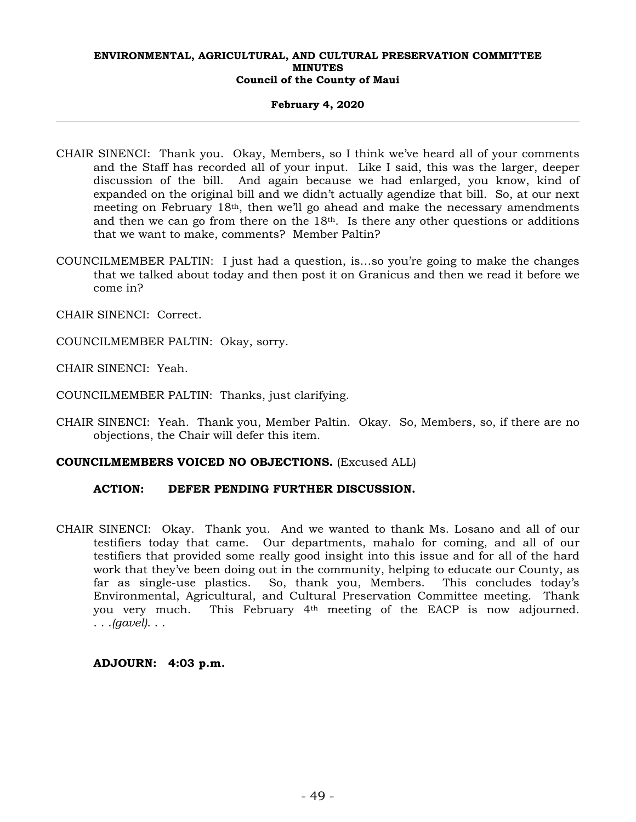## **February 4, 2020**

- CHAIR SINENCI: Thank you. Okay, Members, so I think we've heard all of your comments and the Staff has recorded all of your input. Like I said, this was the larger, deeper discussion of the bill. And again because we had enlarged, you know, kind of expanded on the original bill and we didn't actually agendize that bill. So, at our next meeting on February 18th, then we'll go ahead and make the necessary amendments and then we can go from there on the  $18<sup>th</sup>$ . Is there any other questions or additions that we want to make, comments? Member Paltin?
- COUNCILMEMBER PALTIN: I just had a question, is…so you're going to make the changes that we talked about today and then post it on Granicus and then we read it before we come in?

CHAIR SINENCI: Correct.

COUNCILMEMBER PALTIN: Okay, sorry.

CHAIR SINENCI: Yeah.

COUNCILMEMBER PALTIN: Thanks, just clarifying.

CHAIR SINENCI: Yeah. Thank you, Member Paltin. Okay. So, Members, so, if there are no objections, the Chair will defer this item.

## **COUNCILMEMBERS VOICED NO OBJECTIONS.** (Excused ALL)

## **ACTION: DEFER PENDING FURTHER DISCUSSION.**

CHAIR SINENCI: Okay. Thank you. And we wanted to thank Ms. Losano and all of our testifiers today that came. Our departments, mahalo for coming, and all of our testifiers that provided some really good insight into this issue and for all of the hard work that they've been doing out in the community, helping to educate our County, as far as single-use plastics. So, thank you, Members. This concludes today's Environmental, Agricultural, and Cultural Preservation Committee meeting. Thank you very much. This February 4th meeting of the EACP is now adjourned. . . .*(gavel)*. . .

## **ADJOURN: 4:03 p.m.**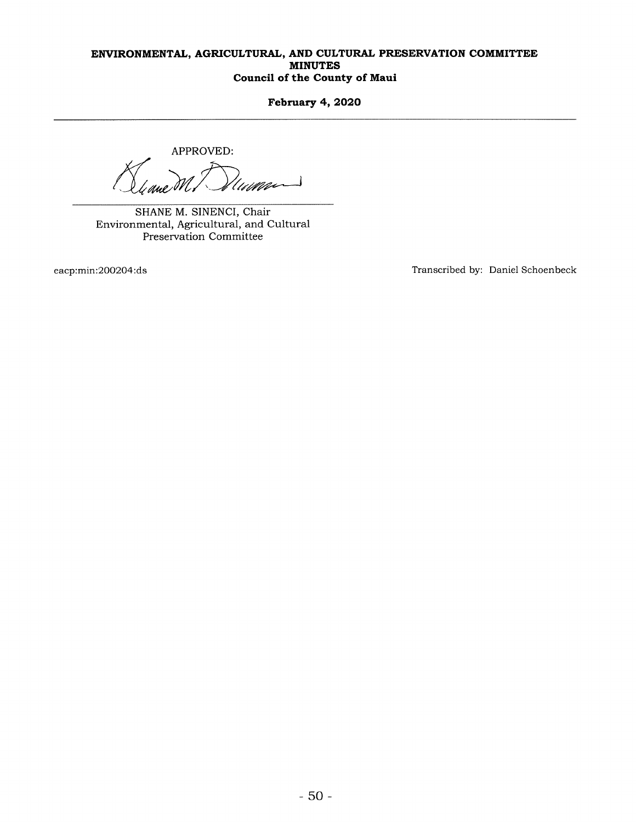February 4, 2020

APPROVED:

SHANE M. SINENCI, Chair Environmental, Agricultural, and Cultural Preservation Committee

eacp:min:200204:ds Transcribed by: Daniel Schoenbeck